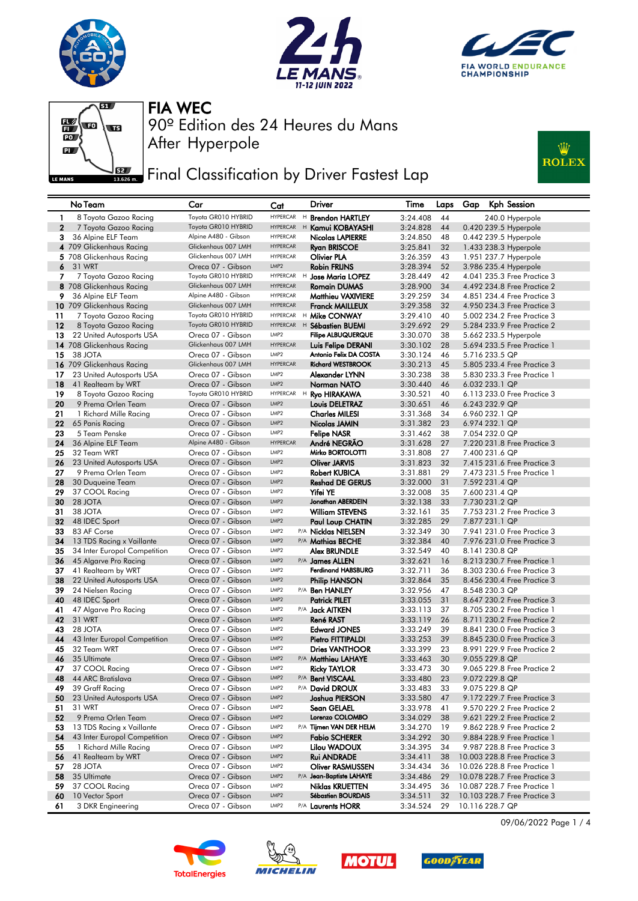







## **FEE** Final Classification by Driver Fastest Lap



| Toyota GR010 HYBRID<br><b>HYPERCAR</b><br>H Brendon HARTLEY<br>3:24.408<br>44<br>240.0 Hyperpole<br>1<br>8 Toyota Gazoo Racing<br>$\mathbf{2}$<br>Toyota GR010 HYBRID<br>44<br>7 Toyota Gazoo Racing<br><b>HYPERCAR</b><br><sup>H</sup> Kamui KOBAYASHI<br>3:24.828<br>0.420 239.5 Hyperpole<br><b>HYPERCAR</b><br>Alpine A480 - Gibson<br>3<br>36 Alpine ELF Team<br>Nicolas LAPIERRE<br>3:24.850<br>48<br>0.442 239.5 Hyperpole<br>Glickenhaus 007 LMH<br>4 709 Glickenhaus Racing<br><b>HYPERCAR</b><br><b>Ryan BRISCOE</b><br>3:25.841<br>32<br>1.433 238.3 Hyperpole<br>Glickenhaus 007 LMH<br>5 708 Glickenhaus Racing<br><b>HYPERCAR</b><br><b>Olivier PLA</b><br>3:26.359<br>43<br>1.951 237.7 Hyperpole<br>LMP <sub>2</sub><br>6<br>31 WRT<br>Oreca 07 - Gibson<br><b>Robin FRIJNS</b><br>3:28.394<br>52<br>3.986 235.4 Hyperpole<br>7<br>7 Toyota Gazoo Racing<br>Toyota GR010 HYBRID<br><b>HYPERCAR</b><br>H Jose Maria LOPEZ<br>3:28.449<br>42<br>4.041 235.3 Free Practice 3<br>Glickenhaus 007 LMH<br><b>HYPERCAR</b><br><b>Romain DUMAS</b><br>3:28.900<br>34<br>4.492 234.8 Free Practice 2<br>8 708 Glickenhaus Racing<br>Alpine A480 - Gibson<br><b>HYPERCAR</b><br>9<br>36 Alpine ELF Team<br><b>Matthieu VAXIVIERE</b><br>3:29.259<br>34<br>4.851 234.4 Free Practice 3<br>Glickenhaus 007 LMH<br><b>HYPERCAR</b><br>10 709 Glickenhaus Racing<br><b>Franck MAILLEUX</b><br>32<br>3:29.358<br>4.950 234.3 Free Practice 3<br>Toyota GR010 HYBRID<br><sup>H</sup> Mike CONWAY<br>11<br>7 Toyota Gazoo Racing<br><b>HYPERCAR</b><br>3:29.410<br>40<br>5.002 234.2 Free Practice 3<br>29<br>5.284 233.9 Free Practice 2<br>12<br>8 Toyota Gazoo Racing<br>Toyota GR010 HYBRID<br><b>HYPERCAR</b><br>3:29.692<br>$H$ Sébastien BUEMI<br><b>Filipe ALBUQUERQUE</b><br>13<br>22 United Autosports USA<br>Oreca 07 - Gibson<br>LMP <sub>2</sub><br>3:30.070<br>38<br>5.662 233.5 Hyperpole<br>Glickenhaus 007 LMH<br>14 708 Glickenhaus Racing<br><b>HYPERCAR</b><br>3:30.102<br>28<br>5.694 233.5 Free Practice 1<br>Luis Felipe DERANI<br>15<br>38 JOTA<br>Oreca 07 - Gibson<br>LMP <sub>2</sub><br>Antonio Felix DA COSTA<br>5.716 233.5 QP<br>3:30.124<br>46<br>Glickenhaus 007 LMH<br><b>Richard WESTBROOK</b><br><b>HYPERCAR</b><br>45<br>16 709 Glickenhaus Racing<br>3:30.213<br>5.805 233.4 Free Practice 3<br>LMP <sub>2</sub><br>17<br>23 United Autosports USA<br>Oreca 07 - Gibson<br>Alexander LYNN<br>3:30.238<br>38<br>5,830 233,3 Free Practice 1<br>LMP <sub>2</sub><br>18<br>41 Realteam by WRT<br>Oreca 07 - Gibson<br>Norman NATO<br>3:30.440<br>46<br>6.032 233.1 QP<br>Toyota GR010 HYBRID<br>19<br>HYPERCAR H<br>8 Toyota Gazoo Racing<br><b>Ryo HIRAKAWA</b><br>3:30.521<br>40<br>6.113 233.0 Free Practice 3<br>LMP <sub>2</sub><br>20<br>9 Prema Orlen Team<br>Oreca 07 - Gibson<br>6.243 232.9 QP<br>Louis DELETRAZ<br>3:30.651<br>46<br>21<br>LMP2<br>34<br>1 Richard Mille Racing<br>Oreca 07 - Gibson<br><b>Charles MILESI</b><br>3:31.368<br>6.960 232.1 QP<br>22<br>LMP2<br>23<br>65 Panis Racing<br>Oreca 07 - Gibson<br>3:31.382<br>6.974 232.1 QP<br>Nicolas JAMIN<br>23<br>5 Team Penske<br>LMP <sub>2</sub><br>Oreca 07 - Gibson<br><b>Felipe NASR</b><br>3:31.462<br>38<br>7.054 232.0 QP<br>Alpine A480 - Gibson<br>24<br>36 Alpine ELF Team<br><b>HYPERCAR</b><br>André NEGRAO<br>3:31.628<br>27<br>7.220 231.8 Free Practice 3<br>LMP2<br>Mirko BORTOLOTTI<br>25<br>32 Team WRT<br>Oreca 07 - Gibson<br>27<br>3:31.808<br>7.400 231.6 QP<br>LMP <sub>2</sub><br>26<br>23 United Autosports USA<br>Oreca 07 - Gibson<br><b>Oliver JARVIS</b><br>3:31.823<br>32<br>7.415 231.6 Free Practice 3<br>LMP2<br>29<br>27<br>9 Prema Orlen Team<br>Oreca 07 - Gibson<br><b>Robert KUBICA</b><br>3:31.881<br>7.473 231.5 Free Practice 1<br>Oreca 07 - Gibson<br>LMP <sub>2</sub><br><b>Reshad DE GERUS</b><br>31<br>28<br>30 Duqueine Team<br>3:32.000<br>7.592 231.4 QP<br>LMP2<br>29<br>37 COOL Racing<br>Oreca 07 - Gibson<br>Yifei YE<br>3:32.008<br>35<br>7.600 231.4 QP<br>28 JOTA<br>LMP <sub>2</sub><br>Jonathan ABERDEIN<br>30<br>Oreca 07 - Gibson<br>33<br>3:32.138<br>7.730 231.2 QP<br>LMP2<br>35<br>31<br>38 JOTA<br>Oreca 07 - Gibson<br><b>William STEVENS</b><br>3:32.161<br>7.753 231.2 Free Practice 3<br>LMP <sub>2</sub><br>29<br>7.877 231.1 QP<br>48 IDEC Sport<br>Oreca 07 - Gibson<br>3:32.285<br>32<br>Paul Loup CHATIN<br>LMP2<br>33<br>83 AF Corse<br>Oreca 07 - Gibson<br>P/A Nicklas NIELSEN<br>3:32.349<br>30<br>7.941 231.0 Free Practice 3<br>LMP <sub>2</sub><br>13 TDS Racing x Vaillante<br>Oreca 07 - Gibson<br>P/A Mathias BECHE<br>3:32.384<br>40<br>7.976 231.0 Free Practice 3<br>34 |  |
|-----------------------------------------------------------------------------------------------------------------------------------------------------------------------------------------------------------------------------------------------------------------------------------------------------------------------------------------------------------------------------------------------------------------------------------------------------------------------------------------------------------------------------------------------------------------------------------------------------------------------------------------------------------------------------------------------------------------------------------------------------------------------------------------------------------------------------------------------------------------------------------------------------------------------------------------------------------------------------------------------------------------------------------------------------------------------------------------------------------------------------------------------------------------------------------------------------------------------------------------------------------------------------------------------------------------------------------------------------------------------------------------------------------------------------------------------------------------------------------------------------------------------------------------------------------------------------------------------------------------------------------------------------------------------------------------------------------------------------------------------------------------------------------------------------------------------------------------------------------------------------------------------------------------------------------------------------------------------------------------------------------------------------------------------------------------------------------------------------------------------------------------------------------------------------------------------------------------------------------------------------------------------------------------------------------------------------------------------------------------------------------------------------------------------------------------------------------------------------------------------------------------------------------------------------------------------------------------------------------------------------------------------------------------------------------------------------------------------------------------------------------------------------------------------------------------------------------------------------------------------------------------------------------------------------------------------------------------------------------------------------------------------------------------------------------------------------------------------------------------------------------------------------------------------------------------------------------------------------------------------------------------------------------------------------------------------------------------------------------------------------------------------------------------------------------------------------------------------------------------------------------------------------------------------------------------------------------------------------------------------------------------------------------------------------------------------------------------------------------------------------------------------------------------------------------------------------------------------------------------------------------------------------------------------------------------------------------------------------------------------------------------------------------------------------------------------------------------------------------------------------------------------------------------------------------------------------------------------------------------------------------------------------------------------------------------------------------------------------------------------------------------------------------------------------------------------------------------------------------------------------------------------------------------------------------------------------------------------------------------------------------------------------------------------------|--|
|                                                                                                                                                                                                                                                                                                                                                                                                                                                                                                                                                                                                                                                                                                                                                                                                                                                                                                                                                                                                                                                                                                                                                                                                                                                                                                                                                                                                                                                                                                                                                                                                                                                                                                                                                                                                                                                                                                                                                                                                                                                                                                                                                                                                                                                                                                                                                                                                                                                                                                                                                                                                                                                                                                                                                                                                                                                                                                                                                                                                                                                                                                                                                                                                                                                                                                                                                                                                                                                                                                                                                                                                                                                                                                                                                                                                                                                                                                                                                                                                                                                                                                                                                                                                                                                                                                                                                                                                                                                                                                                                                                                                                                                                             |  |
|                                                                                                                                                                                                                                                                                                                                                                                                                                                                                                                                                                                                                                                                                                                                                                                                                                                                                                                                                                                                                                                                                                                                                                                                                                                                                                                                                                                                                                                                                                                                                                                                                                                                                                                                                                                                                                                                                                                                                                                                                                                                                                                                                                                                                                                                                                                                                                                                                                                                                                                                                                                                                                                                                                                                                                                                                                                                                                                                                                                                                                                                                                                                                                                                                                                                                                                                                                                                                                                                                                                                                                                                                                                                                                                                                                                                                                                                                                                                                                                                                                                                                                                                                                                                                                                                                                                                                                                                                                                                                                                                                                                                                                                                             |  |
|                                                                                                                                                                                                                                                                                                                                                                                                                                                                                                                                                                                                                                                                                                                                                                                                                                                                                                                                                                                                                                                                                                                                                                                                                                                                                                                                                                                                                                                                                                                                                                                                                                                                                                                                                                                                                                                                                                                                                                                                                                                                                                                                                                                                                                                                                                                                                                                                                                                                                                                                                                                                                                                                                                                                                                                                                                                                                                                                                                                                                                                                                                                                                                                                                                                                                                                                                                                                                                                                                                                                                                                                                                                                                                                                                                                                                                                                                                                                                                                                                                                                                                                                                                                                                                                                                                                                                                                                                                                                                                                                                                                                                                                                             |  |
|                                                                                                                                                                                                                                                                                                                                                                                                                                                                                                                                                                                                                                                                                                                                                                                                                                                                                                                                                                                                                                                                                                                                                                                                                                                                                                                                                                                                                                                                                                                                                                                                                                                                                                                                                                                                                                                                                                                                                                                                                                                                                                                                                                                                                                                                                                                                                                                                                                                                                                                                                                                                                                                                                                                                                                                                                                                                                                                                                                                                                                                                                                                                                                                                                                                                                                                                                                                                                                                                                                                                                                                                                                                                                                                                                                                                                                                                                                                                                                                                                                                                                                                                                                                                                                                                                                                                                                                                                                                                                                                                                                                                                                                                             |  |
|                                                                                                                                                                                                                                                                                                                                                                                                                                                                                                                                                                                                                                                                                                                                                                                                                                                                                                                                                                                                                                                                                                                                                                                                                                                                                                                                                                                                                                                                                                                                                                                                                                                                                                                                                                                                                                                                                                                                                                                                                                                                                                                                                                                                                                                                                                                                                                                                                                                                                                                                                                                                                                                                                                                                                                                                                                                                                                                                                                                                                                                                                                                                                                                                                                                                                                                                                                                                                                                                                                                                                                                                                                                                                                                                                                                                                                                                                                                                                                                                                                                                                                                                                                                                                                                                                                                                                                                                                                                                                                                                                                                                                                                                             |  |
|                                                                                                                                                                                                                                                                                                                                                                                                                                                                                                                                                                                                                                                                                                                                                                                                                                                                                                                                                                                                                                                                                                                                                                                                                                                                                                                                                                                                                                                                                                                                                                                                                                                                                                                                                                                                                                                                                                                                                                                                                                                                                                                                                                                                                                                                                                                                                                                                                                                                                                                                                                                                                                                                                                                                                                                                                                                                                                                                                                                                                                                                                                                                                                                                                                                                                                                                                                                                                                                                                                                                                                                                                                                                                                                                                                                                                                                                                                                                                                                                                                                                                                                                                                                                                                                                                                                                                                                                                                                                                                                                                                                                                                                                             |  |
|                                                                                                                                                                                                                                                                                                                                                                                                                                                                                                                                                                                                                                                                                                                                                                                                                                                                                                                                                                                                                                                                                                                                                                                                                                                                                                                                                                                                                                                                                                                                                                                                                                                                                                                                                                                                                                                                                                                                                                                                                                                                                                                                                                                                                                                                                                                                                                                                                                                                                                                                                                                                                                                                                                                                                                                                                                                                                                                                                                                                                                                                                                                                                                                                                                                                                                                                                                                                                                                                                                                                                                                                                                                                                                                                                                                                                                                                                                                                                                                                                                                                                                                                                                                                                                                                                                                                                                                                                                                                                                                                                                                                                                                                             |  |
|                                                                                                                                                                                                                                                                                                                                                                                                                                                                                                                                                                                                                                                                                                                                                                                                                                                                                                                                                                                                                                                                                                                                                                                                                                                                                                                                                                                                                                                                                                                                                                                                                                                                                                                                                                                                                                                                                                                                                                                                                                                                                                                                                                                                                                                                                                                                                                                                                                                                                                                                                                                                                                                                                                                                                                                                                                                                                                                                                                                                                                                                                                                                                                                                                                                                                                                                                                                                                                                                                                                                                                                                                                                                                                                                                                                                                                                                                                                                                                                                                                                                                                                                                                                                                                                                                                                                                                                                                                                                                                                                                                                                                                                                             |  |
|                                                                                                                                                                                                                                                                                                                                                                                                                                                                                                                                                                                                                                                                                                                                                                                                                                                                                                                                                                                                                                                                                                                                                                                                                                                                                                                                                                                                                                                                                                                                                                                                                                                                                                                                                                                                                                                                                                                                                                                                                                                                                                                                                                                                                                                                                                                                                                                                                                                                                                                                                                                                                                                                                                                                                                                                                                                                                                                                                                                                                                                                                                                                                                                                                                                                                                                                                                                                                                                                                                                                                                                                                                                                                                                                                                                                                                                                                                                                                                                                                                                                                                                                                                                                                                                                                                                                                                                                                                                                                                                                                                                                                                                                             |  |
|                                                                                                                                                                                                                                                                                                                                                                                                                                                                                                                                                                                                                                                                                                                                                                                                                                                                                                                                                                                                                                                                                                                                                                                                                                                                                                                                                                                                                                                                                                                                                                                                                                                                                                                                                                                                                                                                                                                                                                                                                                                                                                                                                                                                                                                                                                                                                                                                                                                                                                                                                                                                                                                                                                                                                                                                                                                                                                                                                                                                                                                                                                                                                                                                                                                                                                                                                                                                                                                                                                                                                                                                                                                                                                                                                                                                                                                                                                                                                                                                                                                                                                                                                                                                                                                                                                                                                                                                                                                                                                                                                                                                                                                                             |  |
|                                                                                                                                                                                                                                                                                                                                                                                                                                                                                                                                                                                                                                                                                                                                                                                                                                                                                                                                                                                                                                                                                                                                                                                                                                                                                                                                                                                                                                                                                                                                                                                                                                                                                                                                                                                                                                                                                                                                                                                                                                                                                                                                                                                                                                                                                                                                                                                                                                                                                                                                                                                                                                                                                                                                                                                                                                                                                                                                                                                                                                                                                                                                                                                                                                                                                                                                                                                                                                                                                                                                                                                                                                                                                                                                                                                                                                                                                                                                                                                                                                                                                                                                                                                                                                                                                                                                                                                                                                                                                                                                                                                                                                                                             |  |
|                                                                                                                                                                                                                                                                                                                                                                                                                                                                                                                                                                                                                                                                                                                                                                                                                                                                                                                                                                                                                                                                                                                                                                                                                                                                                                                                                                                                                                                                                                                                                                                                                                                                                                                                                                                                                                                                                                                                                                                                                                                                                                                                                                                                                                                                                                                                                                                                                                                                                                                                                                                                                                                                                                                                                                                                                                                                                                                                                                                                                                                                                                                                                                                                                                                                                                                                                                                                                                                                                                                                                                                                                                                                                                                                                                                                                                                                                                                                                                                                                                                                                                                                                                                                                                                                                                                                                                                                                                                                                                                                                                                                                                                                             |  |
|                                                                                                                                                                                                                                                                                                                                                                                                                                                                                                                                                                                                                                                                                                                                                                                                                                                                                                                                                                                                                                                                                                                                                                                                                                                                                                                                                                                                                                                                                                                                                                                                                                                                                                                                                                                                                                                                                                                                                                                                                                                                                                                                                                                                                                                                                                                                                                                                                                                                                                                                                                                                                                                                                                                                                                                                                                                                                                                                                                                                                                                                                                                                                                                                                                                                                                                                                                                                                                                                                                                                                                                                                                                                                                                                                                                                                                                                                                                                                                                                                                                                                                                                                                                                                                                                                                                                                                                                                                                                                                                                                                                                                                                                             |  |
|                                                                                                                                                                                                                                                                                                                                                                                                                                                                                                                                                                                                                                                                                                                                                                                                                                                                                                                                                                                                                                                                                                                                                                                                                                                                                                                                                                                                                                                                                                                                                                                                                                                                                                                                                                                                                                                                                                                                                                                                                                                                                                                                                                                                                                                                                                                                                                                                                                                                                                                                                                                                                                                                                                                                                                                                                                                                                                                                                                                                                                                                                                                                                                                                                                                                                                                                                                                                                                                                                                                                                                                                                                                                                                                                                                                                                                                                                                                                                                                                                                                                                                                                                                                                                                                                                                                                                                                                                                                                                                                                                                                                                                                                             |  |
|                                                                                                                                                                                                                                                                                                                                                                                                                                                                                                                                                                                                                                                                                                                                                                                                                                                                                                                                                                                                                                                                                                                                                                                                                                                                                                                                                                                                                                                                                                                                                                                                                                                                                                                                                                                                                                                                                                                                                                                                                                                                                                                                                                                                                                                                                                                                                                                                                                                                                                                                                                                                                                                                                                                                                                                                                                                                                                                                                                                                                                                                                                                                                                                                                                                                                                                                                                                                                                                                                                                                                                                                                                                                                                                                                                                                                                                                                                                                                                                                                                                                                                                                                                                                                                                                                                                                                                                                                                                                                                                                                                                                                                                                             |  |
|                                                                                                                                                                                                                                                                                                                                                                                                                                                                                                                                                                                                                                                                                                                                                                                                                                                                                                                                                                                                                                                                                                                                                                                                                                                                                                                                                                                                                                                                                                                                                                                                                                                                                                                                                                                                                                                                                                                                                                                                                                                                                                                                                                                                                                                                                                                                                                                                                                                                                                                                                                                                                                                                                                                                                                                                                                                                                                                                                                                                                                                                                                                                                                                                                                                                                                                                                                                                                                                                                                                                                                                                                                                                                                                                                                                                                                                                                                                                                                                                                                                                                                                                                                                                                                                                                                                                                                                                                                                                                                                                                                                                                                                                             |  |
|                                                                                                                                                                                                                                                                                                                                                                                                                                                                                                                                                                                                                                                                                                                                                                                                                                                                                                                                                                                                                                                                                                                                                                                                                                                                                                                                                                                                                                                                                                                                                                                                                                                                                                                                                                                                                                                                                                                                                                                                                                                                                                                                                                                                                                                                                                                                                                                                                                                                                                                                                                                                                                                                                                                                                                                                                                                                                                                                                                                                                                                                                                                                                                                                                                                                                                                                                                                                                                                                                                                                                                                                                                                                                                                                                                                                                                                                                                                                                                                                                                                                                                                                                                                                                                                                                                                                                                                                                                                                                                                                                                                                                                                                             |  |
|                                                                                                                                                                                                                                                                                                                                                                                                                                                                                                                                                                                                                                                                                                                                                                                                                                                                                                                                                                                                                                                                                                                                                                                                                                                                                                                                                                                                                                                                                                                                                                                                                                                                                                                                                                                                                                                                                                                                                                                                                                                                                                                                                                                                                                                                                                                                                                                                                                                                                                                                                                                                                                                                                                                                                                                                                                                                                                                                                                                                                                                                                                                                                                                                                                                                                                                                                                                                                                                                                                                                                                                                                                                                                                                                                                                                                                                                                                                                                                                                                                                                                                                                                                                                                                                                                                                                                                                                                                                                                                                                                                                                                                                                             |  |
|                                                                                                                                                                                                                                                                                                                                                                                                                                                                                                                                                                                                                                                                                                                                                                                                                                                                                                                                                                                                                                                                                                                                                                                                                                                                                                                                                                                                                                                                                                                                                                                                                                                                                                                                                                                                                                                                                                                                                                                                                                                                                                                                                                                                                                                                                                                                                                                                                                                                                                                                                                                                                                                                                                                                                                                                                                                                                                                                                                                                                                                                                                                                                                                                                                                                                                                                                                                                                                                                                                                                                                                                                                                                                                                                                                                                                                                                                                                                                                                                                                                                                                                                                                                                                                                                                                                                                                                                                                                                                                                                                                                                                                                                             |  |
|                                                                                                                                                                                                                                                                                                                                                                                                                                                                                                                                                                                                                                                                                                                                                                                                                                                                                                                                                                                                                                                                                                                                                                                                                                                                                                                                                                                                                                                                                                                                                                                                                                                                                                                                                                                                                                                                                                                                                                                                                                                                                                                                                                                                                                                                                                                                                                                                                                                                                                                                                                                                                                                                                                                                                                                                                                                                                                                                                                                                                                                                                                                                                                                                                                                                                                                                                                                                                                                                                                                                                                                                                                                                                                                                                                                                                                                                                                                                                                                                                                                                                                                                                                                                                                                                                                                                                                                                                                                                                                                                                                                                                                                                             |  |
|                                                                                                                                                                                                                                                                                                                                                                                                                                                                                                                                                                                                                                                                                                                                                                                                                                                                                                                                                                                                                                                                                                                                                                                                                                                                                                                                                                                                                                                                                                                                                                                                                                                                                                                                                                                                                                                                                                                                                                                                                                                                                                                                                                                                                                                                                                                                                                                                                                                                                                                                                                                                                                                                                                                                                                                                                                                                                                                                                                                                                                                                                                                                                                                                                                                                                                                                                                                                                                                                                                                                                                                                                                                                                                                                                                                                                                                                                                                                                                                                                                                                                                                                                                                                                                                                                                                                                                                                                                                                                                                                                                                                                                                                             |  |
|                                                                                                                                                                                                                                                                                                                                                                                                                                                                                                                                                                                                                                                                                                                                                                                                                                                                                                                                                                                                                                                                                                                                                                                                                                                                                                                                                                                                                                                                                                                                                                                                                                                                                                                                                                                                                                                                                                                                                                                                                                                                                                                                                                                                                                                                                                                                                                                                                                                                                                                                                                                                                                                                                                                                                                                                                                                                                                                                                                                                                                                                                                                                                                                                                                                                                                                                                                                                                                                                                                                                                                                                                                                                                                                                                                                                                                                                                                                                                                                                                                                                                                                                                                                                                                                                                                                                                                                                                                                                                                                                                                                                                                                                             |  |
|                                                                                                                                                                                                                                                                                                                                                                                                                                                                                                                                                                                                                                                                                                                                                                                                                                                                                                                                                                                                                                                                                                                                                                                                                                                                                                                                                                                                                                                                                                                                                                                                                                                                                                                                                                                                                                                                                                                                                                                                                                                                                                                                                                                                                                                                                                                                                                                                                                                                                                                                                                                                                                                                                                                                                                                                                                                                                                                                                                                                                                                                                                                                                                                                                                                                                                                                                                                                                                                                                                                                                                                                                                                                                                                                                                                                                                                                                                                                                                                                                                                                                                                                                                                                                                                                                                                                                                                                                                                                                                                                                                                                                                                                             |  |
|                                                                                                                                                                                                                                                                                                                                                                                                                                                                                                                                                                                                                                                                                                                                                                                                                                                                                                                                                                                                                                                                                                                                                                                                                                                                                                                                                                                                                                                                                                                                                                                                                                                                                                                                                                                                                                                                                                                                                                                                                                                                                                                                                                                                                                                                                                                                                                                                                                                                                                                                                                                                                                                                                                                                                                                                                                                                                                                                                                                                                                                                                                                                                                                                                                                                                                                                                                                                                                                                                                                                                                                                                                                                                                                                                                                                                                                                                                                                                                                                                                                                                                                                                                                                                                                                                                                                                                                                                                                                                                                                                                                                                                                                             |  |
|                                                                                                                                                                                                                                                                                                                                                                                                                                                                                                                                                                                                                                                                                                                                                                                                                                                                                                                                                                                                                                                                                                                                                                                                                                                                                                                                                                                                                                                                                                                                                                                                                                                                                                                                                                                                                                                                                                                                                                                                                                                                                                                                                                                                                                                                                                                                                                                                                                                                                                                                                                                                                                                                                                                                                                                                                                                                                                                                                                                                                                                                                                                                                                                                                                                                                                                                                                                                                                                                                                                                                                                                                                                                                                                                                                                                                                                                                                                                                                                                                                                                                                                                                                                                                                                                                                                                                                                                                                                                                                                                                                                                                                                                             |  |
|                                                                                                                                                                                                                                                                                                                                                                                                                                                                                                                                                                                                                                                                                                                                                                                                                                                                                                                                                                                                                                                                                                                                                                                                                                                                                                                                                                                                                                                                                                                                                                                                                                                                                                                                                                                                                                                                                                                                                                                                                                                                                                                                                                                                                                                                                                                                                                                                                                                                                                                                                                                                                                                                                                                                                                                                                                                                                                                                                                                                                                                                                                                                                                                                                                                                                                                                                                                                                                                                                                                                                                                                                                                                                                                                                                                                                                                                                                                                                                                                                                                                                                                                                                                                                                                                                                                                                                                                                                                                                                                                                                                                                                                                             |  |
|                                                                                                                                                                                                                                                                                                                                                                                                                                                                                                                                                                                                                                                                                                                                                                                                                                                                                                                                                                                                                                                                                                                                                                                                                                                                                                                                                                                                                                                                                                                                                                                                                                                                                                                                                                                                                                                                                                                                                                                                                                                                                                                                                                                                                                                                                                                                                                                                                                                                                                                                                                                                                                                                                                                                                                                                                                                                                                                                                                                                                                                                                                                                                                                                                                                                                                                                                                                                                                                                                                                                                                                                                                                                                                                                                                                                                                                                                                                                                                                                                                                                                                                                                                                                                                                                                                                                                                                                                                                                                                                                                                                                                                                                             |  |
|                                                                                                                                                                                                                                                                                                                                                                                                                                                                                                                                                                                                                                                                                                                                                                                                                                                                                                                                                                                                                                                                                                                                                                                                                                                                                                                                                                                                                                                                                                                                                                                                                                                                                                                                                                                                                                                                                                                                                                                                                                                                                                                                                                                                                                                                                                                                                                                                                                                                                                                                                                                                                                                                                                                                                                                                                                                                                                                                                                                                                                                                                                                                                                                                                                                                                                                                                                                                                                                                                                                                                                                                                                                                                                                                                                                                                                                                                                                                                                                                                                                                                                                                                                                                                                                                                                                                                                                                                                                                                                                                                                                                                                                                             |  |
|                                                                                                                                                                                                                                                                                                                                                                                                                                                                                                                                                                                                                                                                                                                                                                                                                                                                                                                                                                                                                                                                                                                                                                                                                                                                                                                                                                                                                                                                                                                                                                                                                                                                                                                                                                                                                                                                                                                                                                                                                                                                                                                                                                                                                                                                                                                                                                                                                                                                                                                                                                                                                                                                                                                                                                                                                                                                                                                                                                                                                                                                                                                                                                                                                                                                                                                                                                                                                                                                                                                                                                                                                                                                                                                                                                                                                                                                                                                                                                                                                                                                                                                                                                                                                                                                                                                                                                                                                                                                                                                                                                                                                                                                             |  |
|                                                                                                                                                                                                                                                                                                                                                                                                                                                                                                                                                                                                                                                                                                                                                                                                                                                                                                                                                                                                                                                                                                                                                                                                                                                                                                                                                                                                                                                                                                                                                                                                                                                                                                                                                                                                                                                                                                                                                                                                                                                                                                                                                                                                                                                                                                                                                                                                                                                                                                                                                                                                                                                                                                                                                                                                                                                                                                                                                                                                                                                                                                                                                                                                                                                                                                                                                                                                                                                                                                                                                                                                                                                                                                                                                                                                                                                                                                                                                                                                                                                                                                                                                                                                                                                                                                                                                                                                                                                                                                                                                                                                                                                                             |  |
|                                                                                                                                                                                                                                                                                                                                                                                                                                                                                                                                                                                                                                                                                                                                                                                                                                                                                                                                                                                                                                                                                                                                                                                                                                                                                                                                                                                                                                                                                                                                                                                                                                                                                                                                                                                                                                                                                                                                                                                                                                                                                                                                                                                                                                                                                                                                                                                                                                                                                                                                                                                                                                                                                                                                                                                                                                                                                                                                                                                                                                                                                                                                                                                                                                                                                                                                                                                                                                                                                                                                                                                                                                                                                                                                                                                                                                                                                                                                                                                                                                                                                                                                                                                                                                                                                                                                                                                                                                                                                                                                                                                                                                                                             |  |
|                                                                                                                                                                                                                                                                                                                                                                                                                                                                                                                                                                                                                                                                                                                                                                                                                                                                                                                                                                                                                                                                                                                                                                                                                                                                                                                                                                                                                                                                                                                                                                                                                                                                                                                                                                                                                                                                                                                                                                                                                                                                                                                                                                                                                                                                                                                                                                                                                                                                                                                                                                                                                                                                                                                                                                                                                                                                                                                                                                                                                                                                                                                                                                                                                                                                                                                                                                                                                                                                                                                                                                                                                                                                                                                                                                                                                                                                                                                                                                                                                                                                                                                                                                                                                                                                                                                                                                                                                                                                                                                                                                                                                                                                             |  |
|                                                                                                                                                                                                                                                                                                                                                                                                                                                                                                                                                                                                                                                                                                                                                                                                                                                                                                                                                                                                                                                                                                                                                                                                                                                                                                                                                                                                                                                                                                                                                                                                                                                                                                                                                                                                                                                                                                                                                                                                                                                                                                                                                                                                                                                                                                                                                                                                                                                                                                                                                                                                                                                                                                                                                                                                                                                                                                                                                                                                                                                                                                                                                                                                                                                                                                                                                                                                                                                                                                                                                                                                                                                                                                                                                                                                                                                                                                                                                                                                                                                                                                                                                                                                                                                                                                                                                                                                                                                                                                                                                                                                                                                                             |  |
| LMP2<br>34 Inter Europol Competition<br>Oreca 07 - Gibson<br>3:32.549<br>40<br>8.141 230.8 QP<br>35<br>Alex BRUNDLE<br>LMP <sub>2</sub>                                                                                                                                                                                                                                                                                                                                                                                                                                                                                                                                                                                                                                                                                                                                                                                                                                                                                                                                                                                                                                                                                                                                                                                                                                                                                                                                                                                                                                                                                                                                                                                                                                                                                                                                                                                                                                                                                                                                                                                                                                                                                                                                                                                                                                                                                                                                                                                                                                                                                                                                                                                                                                                                                                                                                                                                                                                                                                                                                                                                                                                                                                                                                                                                                                                                                                                                                                                                                                                                                                                                                                                                                                                                                                                                                                                                                                                                                                                                                                                                                                                                                                                                                                                                                                                                                                                                                                                                                                                                                                                                     |  |
| 45 Algarve Pro Racing<br>Oreca 07 - Gibson<br>P/A James ALLEN<br>3:32.621<br>16<br>8.213 230.7 Free Practice 1<br>36<br>LMP <sub>2</sub><br><b>Ferdinand HABSBURG</b><br>37<br>41 Realteam by WRT<br>Oreca 07 - Gibson<br>3:32.711<br>36<br>8.303 230.6 Free Practice 3                                                                                                                                                                                                                                                                                                                                                                                                                                                                                                                                                                                                                                                                                                                                                                                                                                                                                                                                                                                                                                                                                                                                                                                                                                                                                                                                                                                                                                                                                                                                                                                                                                                                                                                                                                                                                                                                                                                                                                                                                                                                                                                                                                                                                                                                                                                                                                                                                                                                                                                                                                                                                                                                                                                                                                                                                                                                                                                                                                                                                                                                                                                                                                                                                                                                                                                                                                                                                                                                                                                                                                                                                                                                                                                                                                                                                                                                                                                                                                                                                                                                                                                                                                                                                                                                                                                                                                                                     |  |
| LMP2<br>35<br>8.456 230.4 Free Practice 3<br>38<br>22 United Autosports USA<br>Oreca 07 - Gibson<br><b>Philip HANSON</b><br>3:32.864                                                                                                                                                                                                                                                                                                                                                                                                                                                                                                                                                                                                                                                                                                                                                                                                                                                                                                                                                                                                                                                                                                                                                                                                                                                                                                                                                                                                                                                                                                                                                                                                                                                                                                                                                                                                                                                                                                                                                                                                                                                                                                                                                                                                                                                                                                                                                                                                                                                                                                                                                                                                                                                                                                                                                                                                                                                                                                                                                                                                                                                                                                                                                                                                                                                                                                                                                                                                                                                                                                                                                                                                                                                                                                                                                                                                                                                                                                                                                                                                                                                                                                                                                                                                                                                                                                                                                                                                                                                                                                                                        |  |
| LMP2<br>39<br>24 Nielsen Racing<br>Oreca 07 - Gibson<br>P/A Ben HANLEY<br>3:32.956<br>47<br>8.548 230.3 QP                                                                                                                                                                                                                                                                                                                                                                                                                                                                                                                                                                                                                                                                                                                                                                                                                                                                                                                                                                                                                                                                                                                                                                                                                                                                                                                                                                                                                                                                                                                                                                                                                                                                                                                                                                                                                                                                                                                                                                                                                                                                                                                                                                                                                                                                                                                                                                                                                                                                                                                                                                                                                                                                                                                                                                                                                                                                                                                                                                                                                                                                                                                                                                                                                                                                                                                                                                                                                                                                                                                                                                                                                                                                                                                                                                                                                                                                                                                                                                                                                                                                                                                                                                                                                                                                                                                                                                                                                                                                                                                                                                  |  |
| LMP2<br>48 IDEC Sport<br>Oreca 07 - Gibson<br><b>Patrick PILET</b><br>31<br>40<br>3:33.055<br>8.647 230.2 Free Practice 3                                                                                                                                                                                                                                                                                                                                                                                                                                                                                                                                                                                                                                                                                                                                                                                                                                                                                                                                                                                                                                                                                                                                                                                                                                                                                                                                                                                                                                                                                                                                                                                                                                                                                                                                                                                                                                                                                                                                                                                                                                                                                                                                                                                                                                                                                                                                                                                                                                                                                                                                                                                                                                                                                                                                                                                                                                                                                                                                                                                                                                                                                                                                                                                                                                                                                                                                                                                                                                                                                                                                                                                                                                                                                                                                                                                                                                                                                                                                                                                                                                                                                                                                                                                                                                                                                                                                                                                                                                                                                                                                                   |  |
| LMP2<br>37<br>41<br>47 Algarve Pro Racing<br>Oreca 07 - Gibson<br>P/A <b>Jack AITKEN</b><br>3:33.113<br>8.705 230.2 Free Practice 1                                                                                                                                                                                                                                                                                                                                                                                                                                                                                                                                                                                                                                                                                                                                                                                                                                                                                                                                                                                                                                                                                                                                                                                                                                                                                                                                                                                                                                                                                                                                                                                                                                                                                                                                                                                                                                                                                                                                                                                                                                                                                                                                                                                                                                                                                                                                                                                                                                                                                                                                                                                                                                                                                                                                                                                                                                                                                                                                                                                                                                                                                                                                                                                                                                                                                                                                                                                                                                                                                                                                                                                                                                                                                                                                                                                                                                                                                                                                                                                                                                                                                                                                                                                                                                                                                                                                                                                                                                                                                                                                         |  |
| LMP2<br>42<br>31 WRT<br>Oreca 07 - Gibson<br>3:33.119<br>26<br>8.711 230.2 Free Practice 2<br><b>René RAST</b>                                                                                                                                                                                                                                                                                                                                                                                                                                                                                                                                                                                                                                                                                                                                                                                                                                                                                                                                                                                                                                                                                                                                                                                                                                                                                                                                                                                                                                                                                                                                                                                                                                                                                                                                                                                                                                                                                                                                                                                                                                                                                                                                                                                                                                                                                                                                                                                                                                                                                                                                                                                                                                                                                                                                                                                                                                                                                                                                                                                                                                                                                                                                                                                                                                                                                                                                                                                                                                                                                                                                                                                                                                                                                                                                                                                                                                                                                                                                                                                                                                                                                                                                                                                                                                                                                                                                                                                                                                                                                                                                                              |  |
| 43<br>28 JOTA<br>Oreca 07 - Gibson<br>LMP <sub>2</sub><br><b>Edward JONES</b><br>3:33.249<br>39<br>8.841 230.0 Free Practice 3                                                                                                                                                                                                                                                                                                                                                                                                                                                                                                                                                                                                                                                                                                                                                                                                                                                                                                                                                                                                                                                                                                                                                                                                                                                                                                                                                                                                                                                                                                                                                                                                                                                                                                                                                                                                                                                                                                                                                                                                                                                                                                                                                                                                                                                                                                                                                                                                                                                                                                                                                                                                                                                                                                                                                                                                                                                                                                                                                                                                                                                                                                                                                                                                                                                                                                                                                                                                                                                                                                                                                                                                                                                                                                                                                                                                                                                                                                                                                                                                                                                                                                                                                                                                                                                                                                                                                                                                                                                                                                                                              |  |
| LMP2<br>43 Inter Europol Competition<br>Oreca 07 - Gibson<br>Pietro FITTIPALDI<br>3:33.253<br>39<br>8.845 230.0 Free Practice 3<br>44                                                                                                                                                                                                                                                                                                                                                                                                                                                                                                                                                                                                                                                                                                                                                                                                                                                                                                                                                                                                                                                                                                                                                                                                                                                                                                                                                                                                                                                                                                                                                                                                                                                                                                                                                                                                                                                                                                                                                                                                                                                                                                                                                                                                                                                                                                                                                                                                                                                                                                                                                                                                                                                                                                                                                                                                                                                                                                                                                                                                                                                                                                                                                                                                                                                                                                                                                                                                                                                                                                                                                                                                                                                                                                                                                                                                                                                                                                                                                                                                                                                                                                                                                                                                                                                                                                                                                                                                                                                                                                                                       |  |
| LMP <sub>2</sub><br>23<br>45<br>32 Team WRT<br>Oreca 07 - Gibson<br><b>Dries VANTHOOR</b><br>3:33.399<br>8.991 229.9 Free Practice 2                                                                                                                                                                                                                                                                                                                                                                                                                                                                                                                                                                                                                                                                                                                                                                                                                                                                                                                                                                                                                                                                                                                                                                                                                                                                                                                                                                                                                                                                                                                                                                                                                                                                                                                                                                                                                                                                                                                                                                                                                                                                                                                                                                                                                                                                                                                                                                                                                                                                                                                                                                                                                                                                                                                                                                                                                                                                                                                                                                                                                                                                                                                                                                                                                                                                                                                                                                                                                                                                                                                                                                                                                                                                                                                                                                                                                                                                                                                                                                                                                                                                                                                                                                                                                                                                                                                                                                                                                                                                                                                                        |  |
| LMP <sub>2</sub><br>9.055 229.8 QP<br>46<br>35 Ultimate<br>Oreca 07 - Gibson<br>P/A Matthieu LAHAYE<br>3:33.463<br>30                                                                                                                                                                                                                                                                                                                                                                                                                                                                                                                                                                                                                                                                                                                                                                                                                                                                                                                                                                                                                                                                                                                                                                                                                                                                                                                                                                                                                                                                                                                                                                                                                                                                                                                                                                                                                                                                                                                                                                                                                                                                                                                                                                                                                                                                                                                                                                                                                                                                                                                                                                                                                                                                                                                                                                                                                                                                                                                                                                                                                                                                                                                                                                                                                                                                                                                                                                                                                                                                                                                                                                                                                                                                                                                                                                                                                                                                                                                                                                                                                                                                                                                                                                                                                                                                                                                                                                                                                                                                                                                                                       |  |
| LMP <sub>2</sub><br>30<br>47<br>37 COOL Racing<br>Oreca 07 - Gibson<br>3:33.473<br>9.065 229.8 Free Practice 2<br><b>Ricky TAYLOR</b>                                                                                                                                                                                                                                                                                                                                                                                                                                                                                                                                                                                                                                                                                                                                                                                                                                                                                                                                                                                                                                                                                                                                                                                                                                                                                                                                                                                                                                                                                                                                                                                                                                                                                                                                                                                                                                                                                                                                                                                                                                                                                                                                                                                                                                                                                                                                                                                                                                                                                                                                                                                                                                                                                                                                                                                                                                                                                                                                                                                                                                                                                                                                                                                                                                                                                                                                                                                                                                                                                                                                                                                                                                                                                                                                                                                                                                                                                                                                                                                                                                                                                                                                                                                                                                                                                                                                                                                                                                                                                                                                       |  |
| 44 ARC Bratislava<br>P/A Bent VISCAAL<br>Oreca 07 - Gibson<br>LMP2<br>3:33.480<br>23<br>9.072 229.8 QP<br>48                                                                                                                                                                                                                                                                                                                                                                                                                                                                                                                                                                                                                                                                                                                                                                                                                                                                                                                                                                                                                                                                                                                                                                                                                                                                                                                                                                                                                                                                                                                                                                                                                                                                                                                                                                                                                                                                                                                                                                                                                                                                                                                                                                                                                                                                                                                                                                                                                                                                                                                                                                                                                                                                                                                                                                                                                                                                                                                                                                                                                                                                                                                                                                                                                                                                                                                                                                                                                                                                                                                                                                                                                                                                                                                                                                                                                                                                                                                                                                                                                                                                                                                                                                                                                                                                                                                                                                                                                                                                                                                                                                |  |
| 49<br>39 Graff Racing<br>Oreca 07 - Gibson<br>LMP2<br>P/A David DROUX<br>3:33.483<br>33<br>9.075 229.8 QP                                                                                                                                                                                                                                                                                                                                                                                                                                                                                                                                                                                                                                                                                                                                                                                                                                                                                                                                                                                                                                                                                                                                                                                                                                                                                                                                                                                                                                                                                                                                                                                                                                                                                                                                                                                                                                                                                                                                                                                                                                                                                                                                                                                                                                                                                                                                                                                                                                                                                                                                                                                                                                                                                                                                                                                                                                                                                                                                                                                                                                                                                                                                                                                                                                                                                                                                                                                                                                                                                                                                                                                                                                                                                                                                                                                                                                                                                                                                                                                                                                                                                                                                                                                                                                                                                                                                                                                                                                                                                                                                                                   |  |
| LMP <sub>2</sub><br>23 United Autosports USA<br>Oreca 07 - Gibson<br>Joshua PIERSON<br>3:33.580<br>50<br>47<br>9.172 229.7 Free Practice 3                                                                                                                                                                                                                                                                                                                                                                                                                                                                                                                                                                                                                                                                                                                                                                                                                                                                                                                                                                                                                                                                                                                                                                                                                                                                                                                                                                                                                                                                                                                                                                                                                                                                                                                                                                                                                                                                                                                                                                                                                                                                                                                                                                                                                                                                                                                                                                                                                                                                                                                                                                                                                                                                                                                                                                                                                                                                                                                                                                                                                                                                                                                                                                                                                                                                                                                                                                                                                                                                                                                                                                                                                                                                                                                                                                                                                                                                                                                                                                                                                                                                                                                                                                                                                                                                                                                                                                                                                                                                                                                                  |  |
| 51<br>31 WRT<br>Oreca 07 - Gibson<br>LMP <sub>2</sub><br>Sean GELAEL<br>3:33.978<br>41<br>9.570 229.2 Free Practice 2                                                                                                                                                                                                                                                                                                                                                                                                                                                                                                                                                                                                                                                                                                                                                                                                                                                                                                                                                                                                                                                                                                                                                                                                                                                                                                                                                                                                                                                                                                                                                                                                                                                                                                                                                                                                                                                                                                                                                                                                                                                                                                                                                                                                                                                                                                                                                                                                                                                                                                                                                                                                                                                                                                                                                                                                                                                                                                                                                                                                                                                                                                                                                                                                                                                                                                                                                                                                                                                                                                                                                                                                                                                                                                                                                                                                                                                                                                                                                                                                                                                                                                                                                                                                                                                                                                                                                                                                                                                                                                                                                       |  |
| 9 Prema Orlen Team<br>Oreca 07 - Gibson<br>Lorenzo COLOMBO<br>9.621 229.2 Free Practice 2<br>52<br>LMP <sub>2</sub><br>3:34.029<br>38                                                                                                                                                                                                                                                                                                                                                                                                                                                                                                                                                                                                                                                                                                                                                                                                                                                                                                                                                                                                                                                                                                                                                                                                                                                                                                                                                                                                                                                                                                                                                                                                                                                                                                                                                                                                                                                                                                                                                                                                                                                                                                                                                                                                                                                                                                                                                                                                                                                                                                                                                                                                                                                                                                                                                                                                                                                                                                                                                                                                                                                                                                                                                                                                                                                                                                                                                                                                                                                                                                                                                                                                                                                                                                                                                                                                                                                                                                                                                                                                                                                                                                                                                                                                                                                                                                                                                                                                                                                                                                                                       |  |
| 13 TDS Racing x Vaillante<br>P/A Tijmen VAN DER HELM<br>53<br>Oreca 07 - Gibson<br>LMP2<br>3:34.270<br>9.862 228.9 Free Practice 2<br>19                                                                                                                                                                                                                                                                                                                                                                                                                                                                                                                                                                                                                                                                                                                                                                                                                                                                                                                                                                                                                                                                                                                                                                                                                                                                                                                                                                                                                                                                                                                                                                                                                                                                                                                                                                                                                                                                                                                                                                                                                                                                                                                                                                                                                                                                                                                                                                                                                                                                                                                                                                                                                                                                                                                                                                                                                                                                                                                                                                                                                                                                                                                                                                                                                                                                                                                                                                                                                                                                                                                                                                                                                                                                                                                                                                                                                                                                                                                                                                                                                                                                                                                                                                                                                                                                                                                                                                                                                                                                                                                                    |  |
| 54<br>43 Inter Europol Competition<br>Oreca 07 - Gibson<br>LMP <sub>2</sub><br><b>Fabio SCHERER</b><br>3:34.292<br>30<br>9.884 228.9 Free Practice 1<br>1 Richard Mille Racing<br>Oreca 07 - Gibson<br>LMP2                                                                                                                                                                                                                                                                                                                                                                                                                                                                                                                                                                                                                                                                                                                                                                                                                                                                                                                                                                                                                                                                                                                                                                                                                                                                                                                                                                                                                                                                                                                                                                                                                                                                                                                                                                                                                                                                                                                                                                                                                                                                                                                                                                                                                                                                                                                                                                                                                                                                                                                                                                                                                                                                                                                                                                                                                                                                                                                                                                                                                                                                                                                                                                                                                                                                                                                                                                                                                                                                                                                                                                                                                                                                                                                                                                                                                                                                                                                                                                                                                                                                                                                                                                                                                                                                                                                                                                                                                                                                 |  |
| Lilou WADOUX<br>9.987 228.8 Free Practice 3<br>55<br>3:34.395<br>34<br>LMP <sub>2</sub><br><b>Rui ANDRADE</b><br>10.003 228.8 Free Practice 3<br>56<br>41 Realteam by WRT<br>Oreca 07 - Gibson<br>3:34.411<br>38                                                                                                                                                                                                                                                                                                                                                                                                                                                                                                                                                                                                                                                                                                                                                                                                                                                                                                                                                                                                                                                                                                                                                                                                                                                                                                                                                                                                                                                                                                                                                                                                                                                                                                                                                                                                                                                                                                                                                                                                                                                                                                                                                                                                                                                                                                                                                                                                                                                                                                                                                                                                                                                                                                                                                                                                                                                                                                                                                                                                                                                                                                                                                                                                                                                                                                                                                                                                                                                                                                                                                                                                                                                                                                                                                                                                                                                                                                                                                                                                                                                                                                                                                                                                                                                                                                                                                                                                                                                            |  |
| LMP2<br>28 JOTA<br>Oreca 07 - Gibson<br><b>Oliver RASMUSSEN</b><br>3:34.434<br>36<br>10.026 228.8 Free Practice 1<br>57                                                                                                                                                                                                                                                                                                                                                                                                                                                                                                                                                                                                                                                                                                                                                                                                                                                                                                                                                                                                                                                                                                                                                                                                                                                                                                                                                                                                                                                                                                                                                                                                                                                                                                                                                                                                                                                                                                                                                                                                                                                                                                                                                                                                                                                                                                                                                                                                                                                                                                                                                                                                                                                                                                                                                                                                                                                                                                                                                                                                                                                                                                                                                                                                                                                                                                                                                                                                                                                                                                                                                                                                                                                                                                                                                                                                                                                                                                                                                                                                                                                                                                                                                                                                                                                                                                                                                                                                                                                                                                                                                     |  |
| 35 Ultimate<br>LMP <sub>2</sub><br>P/A Jean-Baptiste LAHAYE<br>58<br>Oreca 07 - Gibson<br>3:34.486<br>29<br>10.078 228.7 Free Practice 3                                                                                                                                                                                                                                                                                                                                                                                                                                                                                                                                                                                                                                                                                                                                                                                                                                                                                                                                                                                                                                                                                                                                                                                                                                                                                                                                                                                                                                                                                                                                                                                                                                                                                                                                                                                                                                                                                                                                                                                                                                                                                                                                                                                                                                                                                                                                                                                                                                                                                                                                                                                                                                                                                                                                                                                                                                                                                                                                                                                                                                                                                                                                                                                                                                                                                                                                                                                                                                                                                                                                                                                                                                                                                                                                                                                                                                                                                                                                                                                                                                                                                                                                                                                                                                                                                                                                                                                                                                                                                                                                    |  |
| LMP2<br><b>Niklas KRUETTEN</b><br>37 COOL Racing<br>Oreca 07 - Gibson<br>36<br>10.087 228.7 Free Practice 1<br>59<br>3:34.495                                                                                                                                                                                                                                                                                                                                                                                                                                                                                                                                                                                                                                                                                                                                                                                                                                                                                                                                                                                                                                                                                                                                                                                                                                                                                                                                                                                                                                                                                                                                                                                                                                                                                                                                                                                                                                                                                                                                                                                                                                                                                                                                                                                                                                                                                                                                                                                                                                                                                                                                                                                                                                                                                                                                                                                                                                                                                                                                                                                                                                                                                                                                                                                                                                                                                                                                                                                                                                                                                                                                                                                                                                                                                                                                                                                                                                                                                                                                                                                                                                                                                                                                                                                                                                                                                                                                                                                                                                                                                                                                               |  |
| LMP <sub>2</sub><br>Sébastien BOURDAIS<br>Oreca 07 - Gibson<br>10.103 228.7 Free Practice 3<br>60<br>10 Vector Sport<br>3:34.511<br>32                                                                                                                                                                                                                                                                                                                                                                                                                                                                                                                                                                                                                                                                                                                                                                                                                                                                                                                                                                                                                                                                                                                                                                                                                                                                                                                                                                                                                                                                                                                                                                                                                                                                                                                                                                                                                                                                                                                                                                                                                                                                                                                                                                                                                                                                                                                                                                                                                                                                                                                                                                                                                                                                                                                                                                                                                                                                                                                                                                                                                                                                                                                                                                                                                                                                                                                                                                                                                                                                                                                                                                                                                                                                                                                                                                                                                                                                                                                                                                                                                                                                                                                                                                                                                                                                                                                                                                                                                                                                                                                                      |  |
| 61<br>3 DKR Engineering<br>Oreca 07 - Gibson<br>LMP <sub>2</sub><br>P/A Laurents HORR<br>3:34.524<br>29<br>10.116 228.7 QP                                                                                                                                                                                                                                                                                                                                                                                                                                                                                                                                                                                                                                                                                                                                                                                                                                                                                                                                                                                                                                                                                                                                                                                                                                                                                                                                                                                                                                                                                                                                                                                                                                                                                                                                                                                                                                                                                                                                                                                                                                                                                                                                                                                                                                                                                                                                                                                                                                                                                                                                                                                                                                                                                                                                                                                                                                                                                                                                                                                                                                                                                                                                                                                                                                                                                                                                                                                                                                                                                                                                                                                                                                                                                                                                                                                                                                                                                                                                                                                                                                                                                                                                                                                                                                                                                                                                                                                                                                                                                                                                                  |  |









09/06/2022 Page 1 / 4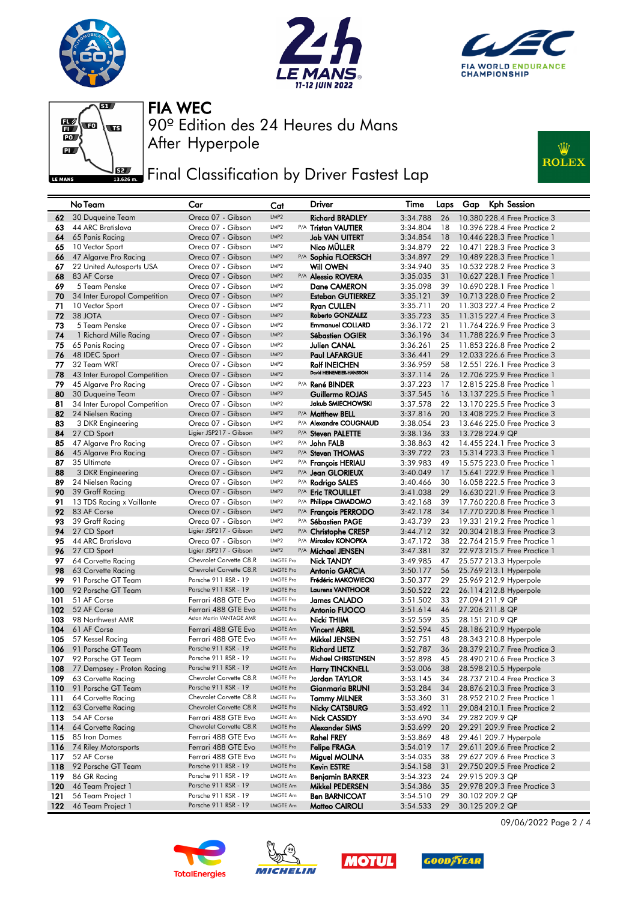







## **FEE** Final Classification by Driver Fastest Lap



| LMP <sub>2</sub><br><b>Richard BRADLEY</b><br>3:34.788<br>10.380 228.4 Free Practice 3<br>30 Duqueine Team<br>Oreca 07 - Gibson<br>26<br>62<br>LMP <sub>2</sub><br>44 ARC Bratislava<br>Oreca 07 - Gibson<br>P/A Tristan VAUTIER<br>3:34.804<br>18<br>10.396 228.4 Free Practice 2<br>63<br>LMP <sub>2</sub><br>64<br>65 Panis Racing<br>Oreca 07 - Gibson<br><b>Job VAN UITERT</b><br>3:34.854<br>18<br>10.446 228.3 Free Practice 1<br>10 Vector Sport<br>Oreca 07 - Gibson<br>LMP <sub>2</sub><br>Nico MULLER<br>3:34.879<br>22<br>10.471 228.3 Free Practice 3<br>65<br>47 Algarve Pro Racing<br>Oreca 07 - Gibson<br>LMP <sub>2</sub><br>P/A Sophia FLOERSCH<br>3:34.897<br>29<br>10.489 228.3 Free Practice 1<br>66<br>LMP2<br><b>Will OWEN</b><br>67<br>22 United Autosports USA<br>Oreca 07 - Gibson<br>3:34.940<br>35<br>10.532 228.2 Free Practice 3<br>LMP <sub>2</sub><br>68<br>83 AF Corse<br>Oreca 07 - Gibson<br>P/A Alessio ROVERA<br>3:35.035<br>31<br>10.627 228.1 Free Practice 1<br>69<br>LMP <sub>2</sub><br>39<br>10.690 228.1 Free Practice 1<br>5 Team Penske<br>Oreca 07 - Gibson<br>Dane CAMERON<br>3:35.098<br>LMP <sub>2</sub><br>39<br>10.713 228.0 Free Practice 2<br>70<br>34 Inter Europol Competition<br>Oreca 07 - Gibson<br><b>Esteban GUTIERREZ</b><br>3:35.121<br>LMP <sub>2</sub><br>71<br>Oreca 07 - Gibson<br>20<br>10 Vector Sport<br><b>Ryan CULLEN</b><br>3:35.711<br>11,303 227.4 Free Practice 2<br>72<br>38 JOTA<br>LMP <sub>2</sub><br>Roberto GONZALEZ<br>Oreca 07 - Gibson<br>3:35.723<br>35<br>11.315 227.4 Free Practice 3<br>LMP <sub>2</sub><br><b>Emmanuel COLLARD</b><br>73<br>5 Team Penske<br>Oreca 07 - Gibson<br>3:36.172<br>21<br>11.764 226.9 Free Practice 3<br>74<br>LMP <sub>2</sub><br>1 Richard Mille Racing<br>Oreca 07 - Gibson<br><b>Sébastien OGIER</b><br>3:36.196<br>34<br>11.788 226.9 Free Practice 3<br>LMP <sub>2</sub><br>75<br>65 Panis Racing<br>Oreca 07 - Gibson<br>Julien CANAL<br>3:36.261<br>25<br>11,853 226.8 Free Practice 2<br>LMP <sub>2</sub><br>76<br>48 IDEC Sport<br>Oreca 07 - Gibson<br><b>Paul LAFARGUE</b><br>29<br>12.033 226.6 Free Practice 3<br>3:36.441<br>LMP <sub>2</sub><br>3:36.959<br>77<br>32 Team WRT<br>Oreca 07 - Gibson<br><b>Rolf INEICHEN</b><br>58<br>12,551 226,1 Free Practice 3<br>David HEINEMEIER-HANSSON<br>LMP <sub>2</sub><br>12.706 225.9 Free Practice 1<br>78<br>43 Inter Europol Competition<br>Oreca 07 - Gibson<br>3:37.114<br>26<br>79<br>LMP <sub>2</sub><br>3:37.223<br>12.815 225.8 Free Practice 1<br>45 Algarve Pro Racing<br>Oreca 07 - Gibson<br>P/A René BINDER<br>17<br>LMP <sub>2</sub><br>13.137 225.5 Free Practice 1<br>80<br>30 Duqueine Team<br>Oreca 07 - Gibson<br>Guillermo ROJAS<br>3:37.545<br>16<br>LMP <sub>2</sub><br>Jakub SMIECHOWSKI<br>34 Inter Europol Competition<br>Oreca 07 - Gibson<br>22<br>13.170 225.5 Free Practice 3<br>81<br>3:37.578<br>LMP <sub>2</sub><br>13.408 225.2 Free Practice 3<br>82<br>24 Nielsen Racing<br>Oreca 07 - Gibson<br>P/A Matthew BELL<br>3:37.816<br>20<br>P/A Alexandre COUGNAUD<br>83<br>3 DKR Engineering<br>Oreca 07 - Gibson<br>LMP <sub>2</sub><br>3:38.054<br>23<br>13,646 225,0 Free Practice 3<br>Ligier JSP217 - Gibson<br>84<br>27 CD Sport<br>LMP <sub>2</sub><br>P/A Steven PALETTE<br>3:38.136<br>33<br>13.728 224.9 QP<br>85<br>47 Algarve Pro Racing<br>Oreca 07 - Gibson<br>LMP <sub>2</sub><br>P/A John FALB<br>3:38.863<br>42<br>14,455 224,1 Free Practice 3<br>Oreca 07 - Gibson<br>LMP <sub>2</sub><br>86<br>45 Algarve Pro Racing<br>P/A Steven THOMAS<br>3:39.722<br>23<br>15.314 223.3 Free Practice 1<br>LMP <sub>2</sub><br>87<br>35 Ultimate<br>Oreca 07 - Gibson<br>P/A François HERIAU<br>3:39.983<br>49<br>15.575 223.0 Free Practice 1<br>LMP <sub>2</sub><br>88<br>3 DKR Engineering<br>Oreca 07 - Gibson<br>P/A Jean GLORIEUX<br>3:40.049<br>17<br>15.641 222.9 Free Practice 1<br>89<br>LMP <sub>2</sub><br>16.058 222.5 Free Practice 3<br>24 Nielsen Racing<br>Oreca 07 - Gibson<br>P/A Rodrigo SALES<br>3:40.466<br>30<br>90<br>LMP <sub>2</sub><br>16.630 221.9 Free Practice 3<br>39 Graff Racing<br>Oreca 07 - Gibson<br>P/A Eric TROUILLET<br>3:41.038<br>29<br>LMP <sub>2</sub><br>91<br>13 TDS Racing x Vaillante<br>Oreca 07 - Gibson<br>P/A Philippe CIMADOMO<br>39<br>17,760 220.8 Free Practice 3<br>3:42.168<br>LMP <sub>2</sub><br>34<br>92<br>83 AF Corse<br>Oreca 07 - Gibson<br>P/A François PERRODO<br>3:42.178<br>17.770 220.8 Free Practice 1<br>93<br>39 Graff Racing<br>LMP <sub>2</sub><br>P/A Sébastien PAGE<br>23<br>19.331 219.2 Free Practice 1<br>Oreca 07 - Gibson<br>3:43.739<br>Ligier JSP217 - Gibson<br>94<br>27 CD Sport<br>LMP <sub>2</sub><br>P/A Christophe CRESP<br>3:44.712<br>32<br>20,304 218,3 Free Practice 3<br>LMP <sub>2</sub><br>P/A Miroslav KONOPKA<br>95<br>44 ARC Bratislava<br>Oreca 07 - Gibson<br>3:47.172<br>38<br>22.764 215.9 Free Practice 1<br>96<br>27 CD Sport<br>Ligier JSP217 - Gibson<br>LMP <sub>2</sub><br>P/A Michael JENSEN<br>22.973 215.7 Free Practice 1<br>3:47.381<br>32<br>Chevrolet Corvette C8.R<br><b>LMGTE Pro</b><br>97<br>64 Corvette Racing<br><b>Nick TANDY</b><br>3:49.985<br>47<br>25.577 213.3 Hyperpole<br>Chevrolet Corvette C8.R<br><b>LMGTE Pro</b><br>98<br>63 Corvette Racing<br>3:50.177<br>56<br>25.769 213.1 Hyperpole<br>Antonio GARCIA<br>Porsche 911 RSR - 19<br>Frédéric MAKOWIECKI<br>99<br><b>LMGTE Pro</b><br>25.969 212.9 Hyperpole<br>91 Porsche GT Team<br>3:50.377<br>29<br>92 Porsche GT Team<br>Porsche 911 RSR - 19<br><b>LMGTE Pro</b><br><b>Laurens VANTHOOR</b><br>100<br>3:50.522<br>22<br>26.114 212.8 Hyperpole<br>51 AF Corse<br>101<br>Ferrari 488 GTE Evo<br><b>LMGTE Pro</b><br>James CALADO<br>3:51.502<br>33<br>27.094 211.9 QP<br>102<br>52 AF Corse<br>Antonio FUOCO<br>Ferrari 488 GTE Evo<br><b>LMGTE Pro</b><br>3:51.614<br>46<br>27.206 211.8 QP<br>Aston Martin VANTAGE AMR<br>98 Northwest AMR<br><b>LMGTE Am</b><br>3:52.559<br>35<br>28.151 210.9 QP<br>103<br>Nicki THIIM<br>104<br>61 AF Corse<br>Ferrari 488 GTE Evo<br><b>LMGTE Am</b><br><b>Vincent ABRIL</b><br>3:52.594<br>45<br>28.186 210.9 Hyperpole<br>105<br>57 Kessel Racing<br><b>LMGTE Am</b><br>Mikkel JENSEN<br>3:52.751<br>48<br>28.343 210.8 Hyperpole<br>Ferrari 488 GTE Evo<br>Porsche 911 RSR - 19<br><b>LMGTE Pro</b><br>106<br>91 Porsche GT Team<br><b>Richard LIETZ</b><br>3:52.787<br>36<br>28,379 210,7 Free Practice 3<br>Porsche 911 RSR - 19<br><b>LMGTE Pro</b><br>Michael CHRISTENSEN<br>107<br>92 Porsche GT Team<br>3:52.898<br>45<br>28,490 210.6 Free Practice 3<br>Porsche 911 RSR - 19<br><b>LMGTE Am</b><br>108<br>77 Dempsey - Proton Racing<br><b>Harry TINCKNELL</b><br>3:53.006<br>38<br>28.598 210.5 Hyperpole<br>Chevrolet Corvette C8.R<br>63 Corvette Racing<br><b>LMGTE Pro</b><br>Jordan TAYLOR<br>3:53.145<br>28.737 210.4 Free Practice 3<br>109<br>34<br>91 Porsche GT Team<br>Porsche 911 RSR - 19<br><b>LMGTE Pro</b><br>Gianmaria BRUNI<br>3:53.284<br>28.876 210.3 Free Practice 3<br>110<br>34<br>Chevrolet Corvette C8.R<br><b>LMGTE Pro</b><br>64 Corvette Racing<br><b>Tommy MILNER</b><br>3:53.360<br>31<br>28.952 210.2 Free Practice 1<br>111 |     | No Team            | Car                     | Cat              | Driver                | Time     | Laps | Kph Session<br>Gap           |
|-------------------------------------------------------------------------------------------------------------------------------------------------------------------------------------------------------------------------------------------------------------------------------------------------------------------------------------------------------------------------------------------------------------------------------------------------------------------------------------------------------------------------------------------------------------------------------------------------------------------------------------------------------------------------------------------------------------------------------------------------------------------------------------------------------------------------------------------------------------------------------------------------------------------------------------------------------------------------------------------------------------------------------------------------------------------------------------------------------------------------------------------------------------------------------------------------------------------------------------------------------------------------------------------------------------------------------------------------------------------------------------------------------------------------------------------------------------------------------------------------------------------------------------------------------------------------------------------------------------------------------------------------------------------------------------------------------------------------------------------------------------------------------------------------------------------------------------------------------------------------------------------------------------------------------------------------------------------------------------------------------------------------------------------------------------------------------------------------------------------------------------------------------------------------------------------------------------------------------------------------------------------------------------------------------------------------------------------------------------------------------------------------------------------------------------------------------------------------------------------------------------------------------------------------------------------------------------------------------------------------------------------------------------------------------------------------------------------------------------------------------------------------------------------------------------------------------------------------------------------------------------------------------------------------------------------------------------------------------------------------------------------------------------------------------------------------------------------------------------------------------------------------------------------------------------------------------------------------------------------------------------------------------------------------------------------------------------------------------------------------------------------------------------------------------------------------------------------------------------------------------------------------------------------------------------------------------------------------------------------------------------------------------------------------------------------------------------------------------------------------------------------------------------------------------------------------------------------------------------------------------------------------------------------------------------------------------------------------------------------------------------------------------------------------------------------------------------------------------------------------------------------------------------------------------------------------------------------------------------------------------------------------------------------------------------------------------------------------------------------------------------------------------------------------------------------------------------------------------------------------------------------------------------------------------------------------------------------------------------------------------------------------------------------------------------------------------------------------------------------------------------------------------------------------------------------------------------------------------------------------------------------------------------------------------------------------------------------------------------------------------------------------------------------------------------------------------------------------------------------------------------------------------------------------------------------------------------------------------------------------------------------------------------------------------------------------------------------------------------------------------------------------------------------------------------------------------------------------------------------------------------------------------------------------------------------------------------------------------------------------------------------------------------------------------------------------------------------------------------------------------------------------------------------------------------------------------------------------------------------------------------------------------------------------------------------------------------------------------------------------------------------------------------------------------------------------------------------------------------------------------------------------------------------------------------------------------------------------------------------------------------------------------------------------------------------------------------------------------------------------------------------------------------------------------------------------------------------------------------------------------------------------------------------------------------------------------------------------------------------------------------------------------------------------------------------------------------------------------------------------------------------------------------------------------------------------------------------------------------------------------------------------------------------------------------------------------------------------------------------------------------------------------------------------------------------------------------------------------------------------------------------------------------------------------------------------------------------------------------|-----|--------------------|-------------------------|------------------|-----------------------|----------|------|------------------------------|
|                                                                                                                                                                                                                                                                                                                                                                                                                                                                                                                                                                                                                                                                                                                                                                                                                                                                                                                                                                                                                                                                                                                                                                                                                                                                                                                                                                                                                                                                                                                                                                                                                                                                                                                                                                                                                                                                                                                                                                                                                                                                                                                                                                                                                                                                                                                                                                                                                                                                                                                                                                                                                                                                                                                                                                                                                                                                                                                                                                                                                                                                                                                                                                                                                                                                                                                                                                                                                                                                                                                                                                                                                                                                                                                                                                                                                                                                                                                                                                                                                                                                                                                                                                                                                                                                                                                                                                                                                                                                                                                                                                                                                                                                                                                                                                                                                                                                                                                                                                                                                                                                                                                                                                                                                                                                                                                                                                                                                                                                                                                                                                                                                                                                                                                                                                                                                                                                                                                                                                                                                                                                                                                                                                                                                                                                                                                                                                                                                                                                                                                                                                                                                                                                                                                                                                                                                                                                                                                                                                                                                                                                                                                                                                                                                                     |     |                    |                         |                  |                       |          |      |                              |
|                                                                                                                                                                                                                                                                                                                                                                                                                                                                                                                                                                                                                                                                                                                                                                                                                                                                                                                                                                                                                                                                                                                                                                                                                                                                                                                                                                                                                                                                                                                                                                                                                                                                                                                                                                                                                                                                                                                                                                                                                                                                                                                                                                                                                                                                                                                                                                                                                                                                                                                                                                                                                                                                                                                                                                                                                                                                                                                                                                                                                                                                                                                                                                                                                                                                                                                                                                                                                                                                                                                                                                                                                                                                                                                                                                                                                                                                                                                                                                                                                                                                                                                                                                                                                                                                                                                                                                                                                                                                                                                                                                                                                                                                                                                                                                                                                                                                                                                                                                                                                                                                                                                                                                                                                                                                                                                                                                                                                                                                                                                                                                                                                                                                                                                                                                                                                                                                                                                                                                                                                                                                                                                                                                                                                                                                                                                                                                                                                                                                                                                                                                                                                                                                                                                                                                                                                                                                                                                                                                                                                                                                                                                                                                                                                                     |     |                    |                         |                  |                       |          |      |                              |
|                                                                                                                                                                                                                                                                                                                                                                                                                                                                                                                                                                                                                                                                                                                                                                                                                                                                                                                                                                                                                                                                                                                                                                                                                                                                                                                                                                                                                                                                                                                                                                                                                                                                                                                                                                                                                                                                                                                                                                                                                                                                                                                                                                                                                                                                                                                                                                                                                                                                                                                                                                                                                                                                                                                                                                                                                                                                                                                                                                                                                                                                                                                                                                                                                                                                                                                                                                                                                                                                                                                                                                                                                                                                                                                                                                                                                                                                                                                                                                                                                                                                                                                                                                                                                                                                                                                                                                                                                                                                                                                                                                                                                                                                                                                                                                                                                                                                                                                                                                                                                                                                                                                                                                                                                                                                                                                                                                                                                                                                                                                                                                                                                                                                                                                                                                                                                                                                                                                                                                                                                                                                                                                                                                                                                                                                                                                                                                                                                                                                                                                                                                                                                                                                                                                                                                                                                                                                                                                                                                                                                                                                                                                                                                                                                                     |     |                    |                         |                  |                       |          |      |                              |
|                                                                                                                                                                                                                                                                                                                                                                                                                                                                                                                                                                                                                                                                                                                                                                                                                                                                                                                                                                                                                                                                                                                                                                                                                                                                                                                                                                                                                                                                                                                                                                                                                                                                                                                                                                                                                                                                                                                                                                                                                                                                                                                                                                                                                                                                                                                                                                                                                                                                                                                                                                                                                                                                                                                                                                                                                                                                                                                                                                                                                                                                                                                                                                                                                                                                                                                                                                                                                                                                                                                                                                                                                                                                                                                                                                                                                                                                                                                                                                                                                                                                                                                                                                                                                                                                                                                                                                                                                                                                                                                                                                                                                                                                                                                                                                                                                                                                                                                                                                                                                                                                                                                                                                                                                                                                                                                                                                                                                                                                                                                                                                                                                                                                                                                                                                                                                                                                                                                                                                                                                                                                                                                                                                                                                                                                                                                                                                                                                                                                                                                                                                                                                                                                                                                                                                                                                                                                                                                                                                                                                                                                                                                                                                                                                                     |     |                    |                         |                  |                       |          |      |                              |
|                                                                                                                                                                                                                                                                                                                                                                                                                                                                                                                                                                                                                                                                                                                                                                                                                                                                                                                                                                                                                                                                                                                                                                                                                                                                                                                                                                                                                                                                                                                                                                                                                                                                                                                                                                                                                                                                                                                                                                                                                                                                                                                                                                                                                                                                                                                                                                                                                                                                                                                                                                                                                                                                                                                                                                                                                                                                                                                                                                                                                                                                                                                                                                                                                                                                                                                                                                                                                                                                                                                                                                                                                                                                                                                                                                                                                                                                                                                                                                                                                                                                                                                                                                                                                                                                                                                                                                                                                                                                                                                                                                                                                                                                                                                                                                                                                                                                                                                                                                                                                                                                                                                                                                                                                                                                                                                                                                                                                                                                                                                                                                                                                                                                                                                                                                                                                                                                                                                                                                                                                                                                                                                                                                                                                                                                                                                                                                                                                                                                                                                                                                                                                                                                                                                                                                                                                                                                                                                                                                                                                                                                                                                                                                                                                                     |     |                    |                         |                  |                       |          |      |                              |
|                                                                                                                                                                                                                                                                                                                                                                                                                                                                                                                                                                                                                                                                                                                                                                                                                                                                                                                                                                                                                                                                                                                                                                                                                                                                                                                                                                                                                                                                                                                                                                                                                                                                                                                                                                                                                                                                                                                                                                                                                                                                                                                                                                                                                                                                                                                                                                                                                                                                                                                                                                                                                                                                                                                                                                                                                                                                                                                                                                                                                                                                                                                                                                                                                                                                                                                                                                                                                                                                                                                                                                                                                                                                                                                                                                                                                                                                                                                                                                                                                                                                                                                                                                                                                                                                                                                                                                                                                                                                                                                                                                                                                                                                                                                                                                                                                                                                                                                                                                                                                                                                                                                                                                                                                                                                                                                                                                                                                                                                                                                                                                                                                                                                                                                                                                                                                                                                                                                                                                                                                                                                                                                                                                                                                                                                                                                                                                                                                                                                                                                                                                                                                                                                                                                                                                                                                                                                                                                                                                                                                                                                                                                                                                                                                                     |     |                    |                         |                  |                       |          |      |                              |
|                                                                                                                                                                                                                                                                                                                                                                                                                                                                                                                                                                                                                                                                                                                                                                                                                                                                                                                                                                                                                                                                                                                                                                                                                                                                                                                                                                                                                                                                                                                                                                                                                                                                                                                                                                                                                                                                                                                                                                                                                                                                                                                                                                                                                                                                                                                                                                                                                                                                                                                                                                                                                                                                                                                                                                                                                                                                                                                                                                                                                                                                                                                                                                                                                                                                                                                                                                                                                                                                                                                                                                                                                                                                                                                                                                                                                                                                                                                                                                                                                                                                                                                                                                                                                                                                                                                                                                                                                                                                                                                                                                                                                                                                                                                                                                                                                                                                                                                                                                                                                                                                                                                                                                                                                                                                                                                                                                                                                                                                                                                                                                                                                                                                                                                                                                                                                                                                                                                                                                                                                                                                                                                                                                                                                                                                                                                                                                                                                                                                                                                                                                                                                                                                                                                                                                                                                                                                                                                                                                                                                                                                                                                                                                                                                                     |     |                    |                         |                  |                       |          |      |                              |
|                                                                                                                                                                                                                                                                                                                                                                                                                                                                                                                                                                                                                                                                                                                                                                                                                                                                                                                                                                                                                                                                                                                                                                                                                                                                                                                                                                                                                                                                                                                                                                                                                                                                                                                                                                                                                                                                                                                                                                                                                                                                                                                                                                                                                                                                                                                                                                                                                                                                                                                                                                                                                                                                                                                                                                                                                                                                                                                                                                                                                                                                                                                                                                                                                                                                                                                                                                                                                                                                                                                                                                                                                                                                                                                                                                                                                                                                                                                                                                                                                                                                                                                                                                                                                                                                                                                                                                                                                                                                                                                                                                                                                                                                                                                                                                                                                                                                                                                                                                                                                                                                                                                                                                                                                                                                                                                                                                                                                                                                                                                                                                                                                                                                                                                                                                                                                                                                                                                                                                                                                                                                                                                                                                                                                                                                                                                                                                                                                                                                                                                                                                                                                                                                                                                                                                                                                                                                                                                                                                                                                                                                                                                                                                                                                                     |     |                    |                         |                  |                       |          |      |                              |
|                                                                                                                                                                                                                                                                                                                                                                                                                                                                                                                                                                                                                                                                                                                                                                                                                                                                                                                                                                                                                                                                                                                                                                                                                                                                                                                                                                                                                                                                                                                                                                                                                                                                                                                                                                                                                                                                                                                                                                                                                                                                                                                                                                                                                                                                                                                                                                                                                                                                                                                                                                                                                                                                                                                                                                                                                                                                                                                                                                                                                                                                                                                                                                                                                                                                                                                                                                                                                                                                                                                                                                                                                                                                                                                                                                                                                                                                                                                                                                                                                                                                                                                                                                                                                                                                                                                                                                                                                                                                                                                                                                                                                                                                                                                                                                                                                                                                                                                                                                                                                                                                                                                                                                                                                                                                                                                                                                                                                                                                                                                                                                                                                                                                                                                                                                                                                                                                                                                                                                                                                                                                                                                                                                                                                                                                                                                                                                                                                                                                                                                                                                                                                                                                                                                                                                                                                                                                                                                                                                                                                                                                                                                                                                                                                                     |     |                    |                         |                  |                       |          |      |                              |
|                                                                                                                                                                                                                                                                                                                                                                                                                                                                                                                                                                                                                                                                                                                                                                                                                                                                                                                                                                                                                                                                                                                                                                                                                                                                                                                                                                                                                                                                                                                                                                                                                                                                                                                                                                                                                                                                                                                                                                                                                                                                                                                                                                                                                                                                                                                                                                                                                                                                                                                                                                                                                                                                                                                                                                                                                                                                                                                                                                                                                                                                                                                                                                                                                                                                                                                                                                                                                                                                                                                                                                                                                                                                                                                                                                                                                                                                                                                                                                                                                                                                                                                                                                                                                                                                                                                                                                                                                                                                                                                                                                                                                                                                                                                                                                                                                                                                                                                                                                                                                                                                                                                                                                                                                                                                                                                                                                                                                                                                                                                                                                                                                                                                                                                                                                                                                                                                                                                                                                                                                                                                                                                                                                                                                                                                                                                                                                                                                                                                                                                                                                                                                                                                                                                                                                                                                                                                                                                                                                                                                                                                                                                                                                                                                                     |     |                    |                         |                  |                       |          |      |                              |
|                                                                                                                                                                                                                                                                                                                                                                                                                                                                                                                                                                                                                                                                                                                                                                                                                                                                                                                                                                                                                                                                                                                                                                                                                                                                                                                                                                                                                                                                                                                                                                                                                                                                                                                                                                                                                                                                                                                                                                                                                                                                                                                                                                                                                                                                                                                                                                                                                                                                                                                                                                                                                                                                                                                                                                                                                                                                                                                                                                                                                                                                                                                                                                                                                                                                                                                                                                                                                                                                                                                                                                                                                                                                                                                                                                                                                                                                                                                                                                                                                                                                                                                                                                                                                                                                                                                                                                                                                                                                                                                                                                                                                                                                                                                                                                                                                                                                                                                                                                                                                                                                                                                                                                                                                                                                                                                                                                                                                                                                                                                                                                                                                                                                                                                                                                                                                                                                                                                                                                                                                                                                                                                                                                                                                                                                                                                                                                                                                                                                                                                                                                                                                                                                                                                                                                                                                                                                                                                                                                                                                                                                                                                                                                                                                                     |     |                    |                         |                  |                       |          |      |                              |
|                                                                                                                                                                                                                                                                                                                                                                                                                                                                                                                                                                                                                                                                                                                                                                                                                                                                                                                                                                                                                                                                                                                                                                                                                                                                                                                                                                                                                                                                                                                                                                                                                                                                                                                                                                                                                                                                                                                                                                                                                                                                                                                                                                                                                                                                                                                                                                                                                                                                                                                                                                                                                                                                                                                                                                                                                                                                                                                                                                                                                                                                                                                                                                                                                                                                                                                                                                                                                                                                                                                                                                                                                                                                                                                                                                                                                                                                                                                                                                                                                                                                                                                                                                                                                                                                                                                                                                                                                                                                                                                                                                                                                                                                                                                                                                                                                                                                                                                                                                                                                                                                                                                                                                                                                                                                                                                                                                                                                                                                                                                                                                                                                                                                                                                                                                                                                                                                                                                                                                                                                                                                                                                                                                                                                                                                                                                                                                                                                                                                                                                                                                                                                                                                                                                                                                                                                                                                                                                                                                                                                                                                                                                                                                                                                                     |     |                    |                         |                  |                       |          |      |                              |
|                                                                                                                                                                                                                                                                                                                                                                                                                                                                                                                                                                                                                                                                                                                                                                                                                                                                                                                                                                                                                                                                                                                                                                                                                                                                                                                                                                                                                                                                                                                                                                                                                                                                                                                                                                                                                                                                                                                                                                                                                                                                                                                                                                                                                                                                                                                                                                                                                                                                                                                                                                                                                                                                                                                                                                                                                                                                                                                                                                                                                                                                                                                                                                                                                                                                                                                                                                                                                                                                                                                                                                                                                                                                                                                                                                                                                                                                                                                                                                                                                                                                                                                                                                                                                                                                                                                                                                                                                                                                                                                                                                                                                                                                                                                                                                                                                                                                                                                                                                                                                                                                                                                                                                                                                                                                                                                                                                                                                                                                                                                                                                                                                                                                                                                                                                                                                                                                                                                                                                                                                                                                                                                                                                                                                                                                                                                                                                                                                                                                                                                                                                                                                                                                                                                                                                                                                                                                                                                                                                                                                                                                                                                                                                                                                                     |     |                    |                         |                  |                       |          |      |                              |
|                                                                                                                                                                                                                                                                                                                                                                                                                                                                                                                                                                                                                                                                                                                                                                                                                                                                                                                                                                                                                                                                                                                                                                                                                                                                                                                                                                                                                                                                                                                                                                                                                                                                                                                                                                                                                                                                                                                                                                                                                                                                                                                                                                                                                                                                                                                                                                                                                                                                                                                                                                                                                                                                                                                                                                                                                                                                                                                                                                                                                                                                                                                                                                                                                                                                                                                                                                                                                                                                                                                                                                                                                                                                                                                                                                                                                                                                                                                                                                                                                                                                                                                                                                                                                                                                                                                                                                                                                                                                                                                                                                                                                                                                                                                                                                                                                                                                                                                                                                                                                                                                                                                                                                                                                                                                                                                                                                                                                                                                                                                                                                                                                                                                                                                                                                                                                                                                                                                                                                                                                                                                                                                                                                                                                                                                                                                                                                                                                                                                                                                                                                                                                                                                                                                                                                                                                                                                                                                                                                                                                                                                                                                                                                                                                                     |     |                    |                         |                  |                       |          |      |                              |
|                                                                                                                                                                                                                                                                                                                                                                                                                                                                                                                                                                                                                                                                                                                                                                                                                                                                                                                                                                                                                                                                                                                                                                                                                                                                                                                                                                                                                                                                                                                                                                                                                                                                                                                                                                                                                                                                                                                                                                                                                                                                                                                                                                                                                                                                                                                                                                                                                                                                                                                                                                                                                                                                                                                                                                                                                                                                                                                                                                                                                                                                                                                                                                                                                                                                                                                                                                                                                                                                                                                                                                                                                                                                                                                                                                                                                                                                                                                                                                                                                                                                                                                                                                                                                                                                                                                                                                                                                                                                                                                                                                                                                                                                                                                                                                                                                                                                                                                                                                                                                                                                                                                                                                                                                                                                                                                                                                                                                                                                                                                                                                                                                                                                                                                                                                                                                                                                                                                                                                                                                                                                                                                                                                                                                                                                                                                                                                                                                                                                                                                                                                                                                                                                                                                                                                                                                                                                                                                                                                                                                                                                                                                                                                                                                                     |     |                    |                         |                  |                       |          |      |                              |
|                                                                                                                                                                                                                                                                                                                                                                                                                                                                                                                                                                                                                                                                                                                                                                                                                                                                                                                                                                                                                                                                                                                                                                                                                                                                                                                                                                                                                                                                                                                                                                                                                                                                                                                                                                                                                                                                                                                                                                                                                                                                                                                                                                                                                                                                                                                                                                                                                                                                                                                                                                                                                                                                                                                                                                                                                                                                                                                                                                                                                                                                                                                                                                                                                                                                                                                                                                                                                                                                                                                                                                                                                                                                                                                                                                                                                                                                                                                                                                                                                                                                                                                                                                                                                                                                                                                                                                                                                                                                                                                                                                                                                                                                                                                                                                                                                                                                                                                                                                                                                                                                                                                                                                                                                                                                                                                                                                                                                                                                                                                                                                                                                                                                                                                                                                                                                                                                                                                                                                                                                                                                                                                                                                                                                                                                                                                                                                                                                                                                                                                                                                                                                                                                                                                                                                                                                                                                                                                                                                                                                                                                                                                                                                                                                                     |     |                    |                         |                  |                       |          |      |                              |
|                                                                                                                                                                                                                                                                                                                                                                                                                                                                                                                                                                                                                                                                                                                                                                                                                                                                                                                                                                                                                                                                                                                                                                                                                                                                                                                                                                                                                                                                                                                                                                                                                                                                                                                                                                                                                                                                                                                                                                                                                                                                                                                                                                                                                                                                                                                                                                                                                                                                                                                                                                                                                                                                                                                                                                                                                                                                                                                                                                                                                                                                                                                                                                                                                                                                                                                                                                                                                                                                                                                                                                                                                                                                                                                                                                                                                                                                                                                                                                                                                                                                                                                                                                                                                                                                                                                                                                                                                                                                                                                                                                                                                                                                                                                                                                                                                                                                                                                                                                                                                                                                                                                                                                                                                                                                                                                                                                                                                                                                                                                                                                                                                                                                                                                                                                                                                                                                                                                                                                                                                                                                                                                                                                                                                                                                                                                                                                                                                                                                                                                                                                                                                                                                                                                                                                                                                                                                                                                                                                                                                                                                                                                                                                                                                                     |     |                    |                         |                  |                       |          |      |                              |
|                                                                                                                                                                                                                                                                                                                                                                                                                                                                                                                                                                                                                                                                                                                                                                                                                                                                                                                                                                                                                                                                                                                                                                                                                                                                                                                                                                                                                                                                                                                                                                                                                                                                                                                                                                                                                                                                                                                                                                                                                                                                                                                                                                                                                                                                                                                                                                                                                                                                                                                                                                                                                                                                                                                                                                                                                                                                                                                                                                                                                                                                                                                                                                                                                                                                                                                                                                                                                                                                                                                                                                                                                                                                                                                                                                                                                                                                                                                                                                                                                                                                                                                                                                                                                                                                                                                                                                                                                                                                                                                                                                                                                                                                                                                                                                                                                                                                                                                                                                                                                                                                                                                                                                                                                                                                                                                                                                                                                                                                                                                                                                                                                                                                                                                                                                                                                                                                                                                                                                                                                                                                                                                                                                                                                                                                                                                                                                                                                                                                                                                                                                                                                                                                                                                                                                                                                                                                                                                                                                                                                                                                                                                                                                                                                                     |     |                    |                         |                  |                       |          |      |                              |
|                                                                                                                                                                                                                                                                                                                                                                                                                                                                                                                                                                                                                                                                                                                                                                                                                                                                                                                                                                                                                                                                                                                                                                                                                                                                                                                                                                                                                                                                                                                                                                                                                                                                                                                                                                                                                                                                                                                                                                                                                                                                                                                                                                                                                                                                                                                                                                                                                                                                                                                                                                                                                                                                                                                                                                                                                                                                                                                                                                                                                                                                                                                                                                                                                                                                                                                                                                                                                                                                                                                                                                                                                                                                                                                                                                                                                                                                                                                                                                                                                                                                                                                                                                                                                                                                                                                                                                                                                                                                                                                                                                                                                                                                                                                                                                                                                                                                                                                                                                                                                                                                                                                                                                                                                                                                                                                                                                                                                                                                                                                                                                                                                                                                                                                                                                                                                                                                                                                                                                                                                                                                                                                                                                                                                                                                                                                                                                                                                                                                                                                                                                                                                                                                                                                                                                                                                                                                                                                                                                                                                                                                                                                                                                                                                                     |     |                    |                         |                  |                       |          |      |                              |
|                                                                                                                                                                                                                                                                                                                                                                                                                                                                                                                                                                                                                                                                                                                                                                                                                                                                                                                                                                                                                                                                                                                                                                                                                                                                                                                                                                                                                                                                                                                                                                                                                                                                                                                                                                                                                                                                                                                                                                                                                                                                                                                                                                                                                                                                                                                                                                                                                                                                                                                                                                                                                                                                                                                                                                                                                                                                                                                                                                                                                                                                                                                                                                                                                                                                                                                                                                                                                                                                                                                                                                                                                                                                                                                                                                                                                                                                                                                                                                                                                                                                                                                                                                                                                                                                                                                                                                                                                                                                                                                                                                                                                                                                                                                                                                                                                                                                                                                                                                                                                                                                                                                                                                                                                                                                                                                                                                                                                                                                                                                                                                                                                                                                                                                                                                                                                                                                                                                                                                                                                                                                                                                                                                                                                                                                                                                                                                                                                                                                                                                                                                                                                                                                                                                                                                                                                                                                                                                                                                                                                                                                                                                                                                                                                                     |     |                    |                         |                  |                       |          |      |                              |
|                                                                                                                                                                                                                                                                                                                                                                                                                                                                                                                                                                                                                                                                                                                                                                                                                                                                                                                                                                                                                                                                                                                                                                                                                                                                                                                                                                                                                                                                                                                                                                                                                                                                                                                                                                                                                                                                                                                                                                                                                                                                                                                                                                                                                                                                                                                                                                                                                                                                                                                                                                                                                                                                                                                                                                                                                                                                                                                                                                                                                                                                                                                                                                                                                                                                                                                                                                                                                                                                                                                                                                                                                                                                                                                                                                                                                                                                                                                                                                                                                                                                                                                                                                                                                                                                                                                                                                                                                                                                                                                                                                                                                                                                                                                                                                                                                                                                                                                                                                                                                                                                                                                                                                                                                                                                                                                                                                                                                                                                                                                                                                                                                                                                                                                                                                                                                                                                                                                                                                                                                                                                                                                                                                                                                                                                                                                                                                                                                                                                                                                                                                                                                                                                                                                                                                                                                                                                                                                                                                                                                                                                                                                                                                                                                                     |     |                    |                         |                  |                       |          |      |                              |
|                                                                                                                                                                                                                                                                                                                                                                                                                                                                                                                                                                                                                                                                                                                                                                                                                                                                                                                                                                                                                                                                                                                                                                                                                                                                                                                                                                                                                                                                                                                                                                                                                                                                                                                                                                                                                                                                                                                                                                                                                                                                                                                                                                                                                                                                                                                                                                                                                                                                                                                                                                                                                                                                                                                                                                                                                                                                                                                                                                                                                                                                                                                                                                                                                                                                                                                                                                                                                                                                                                                                                                                                                                                                                                                                                                                                                                                                                                                                                                                                                                                                                                                                                                                                                                                                                                                                                                                                                                                                                                                                                                                                                                                                                                                                                                                                                                                                                                                                                                                                                                                                                                                                                                                                                                                                                                                                                                                                                                                                                                                                                                                                                                                                                                                                                                                                                                                                                                                                                                                                                                                                                                                                                                                                                                                                                                                                                                                                                                                                                                                                                                                                                                                                                                                                                                                                                                                                                                                                                                                                                                                                                                                                                                                                                                     |     |                    |                         |                  |                       |          |      |                              |
|                                                                                                                                                                                                                                                                                                                                                                                                                                                                                                                                                                                                                                                                                                                                                                                                                                                                                                                                                                                                                                                                                                                                                                                                                                                                                                                                                                                                                                                                                                                                                                                                                                                                                                                                                                                                                                                                                                                                                                                                                                                                                                                                                                                                                                                                                                                                                                                                                                                                                                                                                                                                                                                                                                                                                                                                                                                                                                                                                                                                                                                                                                                                                                                                                                                                                                                                                                                                                                                                                                                                                                                                                                                                                                                                                                                                                                                                                                                                                                                                                                                                                                                                                                                                                                                                                                                                                                                                                                                                                                                                                                                                                                                                                                                                                                                                                                                                                                                                                                                                                                                                                                                                                                                                                                                                                                                                                                                                                                                                                                                                                                                                                                                                                                                                                                                                                                                                                                                                                                                                                                                                                                                                                                                                                                                                                                                                                                                                                                                                                                                                                                                                                                                                                                                                                                                                                                                                                                                                                                                                                                                                                                                                                                                                                                     |     |                    |                         |                  |                       |          |      |                              |
|                                                                                                                                                                                                                                                                                                                                                                                                                                                                                                                                                                                                                                                                                                                                                                                                                                                                                                                                                                                                                                                                                                                                                                                                                                                                                                                                                                                                                                                                                                                                                                                                                                                                                                                                                                                                                                                                                                                                                                                                                                                                                                                                                                                                                                                                                                                                                                                                                                                                                                                                                                                                                                                                                                                                                                                                                                                                                                                                                                                                                                                                                                                                                                                                                                                                                                                                                                                                                                                                                                                                                                                                                                                                                                                                                                                                                                                                                                                                                                                                                                                                                                                                                                                                                                                                                                                                                                                                                                                                                                                                                                                                                                                                                                                                                                                                                                                                                                                                                                                                                                                                                                                                                                                                                                                                                                                                                                                                                                                                                                                                                                                                                                                                                                                                                                                                                                                                                                                                                                                                                                                                                                                                                                                                                                                                                                                                                                                                                                                                                                                                                                                                                                                                                                                                                                                                                                                                                                                                                                                                                                                                                                                                                                                                                                     |     |                    |                         |                  |                       |          |      |                              |
|                                                                                                                                                                                                                                                                                                                                                                                                                                                                                                                                                                                                                                                                                                                                                                                                                                                                                                                                                                                                                                                                                                                                                                                                                                                                                                                                                                                                                                                                                                                                                                                                                                                                                                                                                                                                                                                                                                                                                                                                                                                                                                                                                                                                                                                                                                                                                                                                                                                                                                                                                                                                                                                                                                                                                                                                                                                                                                                                                                                                                                                                                                                                                                                                                                                                                                                                                                                                                                                                                                                                                                                                                                                                                                                                                                                                                                                                                                                                                                                                                                                                                                                                                                                                                                                                                                                                                                                                                                                                                                                                                                                                                                                                                                                                                                                                                                                                                                                                                                                                                                                                                                                                                                                                                                                                                                                                                                                                                                                                                                                                                                                                                                                                                                                                                                                                                                                                                                                                                                                                                                                                                                                                                                                                                                                                                                                                                                                                                                                                                                                                                                                                                                                                                                                                                                                                                                                                                                                                                                                                                                                                                                                                                                                                                                     |     |                    |                         |                  |                       |          |      |                              |
|                                                                                                                                                                                                                                                                                                                                                                                                                                                                                                                                                                                                                                                                                                                                                                                                                                                                                                                                                                                                                                                                                                                                                                                                                                                                                                                                                                                                                                                                                                                                                                                                                                                                                                                                                                                                                                                                                                                                                                                                                                                                                                                                                                                                                                                                                                                                                                                                                                                                                                                                                                                                                                                                                                                                                                                                                                                                                                                                                                                                                                                                                                                                                                                                                                                                                                                                                                                                                                                                                                                                                                                                                                                                                                                                                                                                                                                                                                                                                                                                                                                                                                                                                                                                                                                                                                                                                                                                                                                                                                                                                                                                                                                                                                                                                                                                                                                                                                                                                                                                                                                                                                                                                                                                                                                                                                                                                                                                                                                                                                                                                                                                                                                                                                                                                                                                                                                                                                                                                                                                                                                                                                                                                                                                                                                                                                                                                                                                                                                                                                                                                                                                                                                                                                                                                                                                                                                                                                                                                                                                                                                                                                                                                                                                                                     |     |                    |                         |                  |                       |          |      |                              |
|                                                                                                                                                                                                                                                                                                                                                                                                                                                                                                                                                                                                                                                                                                                                                                                                                                                                                                                                                                                                                                                                                                                                                                                                                                                                                                                                                                                                                                                                                                                                                                                                                                                                                                                                                                                                                                                                                                                                                                                                                                                                                                                                                                                                                                                                                                                                                                                                                                                                                                                                                                                                                                                                                                                                                                                                                                                                                                                                                                                                                                                                                                                                                                                                                                                                                                                                                                                                                                                                                                                                                                                                                                                                                                                                                                                                                                                                                                                                                                                                                                                                                                                                                                                                                                                                                                                                                                                                                                                                                                                                                                                                                                                                                                                                                                                                                                                                                                                                                                                                                                                                                                                                                                                                                                                                                                                                                                                                                                                                                                                                                                                                                                                                                                                                                                                                                                                                                                                                                                                                                                                                                                                                                                                                                                                                                                                                                                                                                                                                                                                                                                                                                                                                                                                                                                                                                                                                                                                                                                                                                                                                                                                                                                                                                                     |     |                    |                         |                  |                       |          |      |                              |
|                                                                                                                                                                                                                                                                                                                                                                                                                                                                                                                                                                                                                                                                                                                                                                                                                                                                                                                                                                                                                                                                                                                                                                                                                                                                                                                                                                                                                                                                                                                                                                                                                                                                                                                                                                                                                                                                                                                                                                                                                                                                                                                                                                                                                                                                                                                                                                                                                                                                                                                                                                                                                                                                                                                                                                                                                                                                                                                                                                                                                                                                                                                                                                                                                                                                                                                                                                                                                                                                                                                                                                                                                                                                                                                                                                                                                                                                                                                                                                                                                                                                                                                                                                                                                                                                                                                                                                                                                                                                                                                                                                                                                                                                                                                                                                                                                                                                                                                                                                                                                                                                                                                                                                                                                                                                                                                                                                                                                                                                                                                                                                                                                                                                                                                                                                                                                                                                                                                                                                                                                                                                                                                                                                                                                                                                                                                                                                                                                                                                                                                                                                                                                                                                                                                                                                                                                                                                                                                                                                                                                                                                                                                                                                                                                                     |     |                    |                         |                  |                       |          |      |                              |
|                                                                                                                                                                                                                                                                                                                                                                                                                                                                                                                                                                                                                                                                                                                                                                                                                                                                                                                                                                                                                                                                                                                                                                                                                                                                                                                                                                                                                                                                                                                                                                                                                                                                                                                                                                                                                                                                                                                                                                                                                                                                                                                                                                                                                                                                                                                                                                                                                                                                                                                                                                                                                                                                                                                                                                                                                                                                                                                                                                                                                                                                                                                                                                                                                                                                                                                                                                                                                                                                                                                                                                                                                                                                                                                                                                                                                                                                                                                                                                                                                                                                                                                                                                                                                                                                                                                                                                                                                                                                                                                                                                                                                                                                                                                                                                                                                                                                                                                                                                                                                                                                                                                                                                                                                                                                                                                                                                                                                                                                                                                                                                                                                                                                                                                                                                                                                                                                                                                                                                                                                                                                                                                                                                                                                                                                                                                                                                                                                                                                                                                                                                                                                                                                                                                                                                                                                                                                                                                                                                                                                                                                                                                                                                                                                                     |     |                    |                         |                  |                       |          |      |                              |
|                                                                                                                                                                                                                                                                                                                                                                                                                                                                                                                                                                                                                                                                                                                                                                                                                                                                                                                                                                                                                                                                                                                                                                                                                                                                                                                                                                                                                                                                                                                                                                                                                                                                                                                                                                                                                                                                                                                                                                                                                                                                                                                                                                                                                                                                                                                                                                                                                                                                                                                                                                                                                                                                                                                                                                                                                                                                                                                                                                                                                                                                                                                                                                                                                                                                                                                                                                                                                                                                                                                                                                                                                                                                                                                                                                                                                                                                                                                                                                                                                                                                                                                                                                                                                                                                                                                                                                                                                                                                                                                                                                                                                                                                                                                                                                                                                                                                                                                                                                                                                                                                                                                                                                                                                                                                                                                                                                                                                                                                                                                                                                                                                                                                                                                                                                                                                                                                                                                                                                                                                                                                                                                                                                                                                                                                                                                                                                                                                                                                                                                                                                                                                                                                                                                                                                                                                                                                                                                                                                                                                                                                                                                                                                                                                                     |     |                    |                         |                  |                       |          |      |                              |
|                                                                                                                                                                                                                                                                                                                                                                                                                                                                                                                                                                                                                                                                                                                                                                                                                                                                                                                                                                                                                                                                                                                                                                                                                                                                                                                                                                                                                                                                                                                                                                                                                                                                                                                                                                                                                                                                                                                                                                                                                                                                                                                                                                                                                                                                                                                                                                                                                                                                                                                                                                                                                                                                                                                                                                                                                                                                                                                                                                                                                                                                                                                                                                                                                                                                                                                                                                                                                                                                                                                                                                                                                                                                                                                                                                                                                                                                                                                                                                                                                                                                                                                                                                                                                                                                                                                                                                                                                                                                                                                                                                                                                                                                                                                                                                                                                                                                                                                                                                                                                                                                                                                                                                                                                                                                                                                                                                                                                                                                                                                                                                                                                                                                                                                                                                                                                                                                                                                                                                                                                                                                                                                                                                                                                                                                                                                                                                                                                                                                                                                                                                                                                                                                                                                                                                                                                                                                                                                                                                                                                                                                                                                                                                                                                                     |     |                    |                         |                  |                       |          |      |                              |
|                                                                                                                                                                                                                                                                                                                                                                                                                                                                                                                                                                                                                                                                                                                                                                                                                                                                                                                                                                                                                                                                                                                                                                                                                                                                                                                                                                                                                                                                                                                                                                                                                                                                                                                                                                                                                                                                                                                                                                                                                                                                                                                                                                                                                                                                                                                                                                                                                                                                                                                                                                                                                                                                                                                                                                                                                                                                                                                                                                                                                                                                                                                                                                                                                                                                                                                                                                                                                                                                                                                                                                                                                                                                                                                                                                                                                                                                                                                                                                                                                                                                                                                                                                                                                                                                                                                                                                                                                                                                                                                                                                                                                                                                                                                                                                                                                                                                                                                                                                                                                                                                                                                                                                                                                                                                                                                                                                                                                                                                                                                                                                                                                                                                                                                                                                                                                                                                                                                                                                                                                                                                                                                                                                                                                                                                                                                                                                                                                                                                                                                                                                                                                                                                                                                                                                                                                                                                                                                                                                                                                                                                                                                                                                                                                                     |     |                    |                         |                  |                       |          |      |                              |
|                                                                                                                                                                                                                                                                                                                                                                                                                                                                                                                                                                                                                                                                                                                                                                                                                                                                                                                                                                                                                                                                                                                                                                                                                                                                                                                                                                                                                                                                                                                                                                                                                                                                                                                                                                                                                                                                                                                                                                                                                                                                                                                                                                                                                                                                                                                                                                                                                                                                                                                                                                                                                                                                                                                                                                                                                                                                                                                                                                                                                                                                                                                                                                                                                                                                                                                                                                                                                                                                                                                                                                                                                                                                                                                                                                                                                                                                                                                                                                                                                                                                                                                                                                                                                                                                                                                                                                                                                                                                                                                                                                                                                                                                                                                                                                                                                                                                                                                                                                                                                                                                                                                                                                                                                                                                                                                                                                                                                                                                                                                                                                                                                                                                                                                                                                                                                                                                                                                                                                                                                                                                                                                                                                                                                                                                                                                                                                                                                                                                                                                                                                                                                                                                                                                                                                                                                                                                                                                                                                                                                                                                                                                                                                                                                                     |     |                    |                         |                  |                       |          |      |                              |
|                                                                                                                                                                                                                                                                                                                                                                                                                                                                                                                                                                                                                                                                                                                                                                                                                                                                                                                                                                                                                                                                                                                                                                                                                                                                                                                                                                                                                                                                                                                                                                                                                                                                                                                                                                                                                                                                                                                                                                                                                                                                                                                                                                                                                                                                                                                                                                                                                                                                                                                                                                                                                                                                                                                                                                                                                                                                                                                                                                                                                                                                                                                                                                                                                                                                                                                                                                                                                                                                                                                                                                                                                                                                                                                                                                                                                                                                                                                                                                                                                                                                                                                                                                                                                                                                                                                                                                                                                                                                                                                                                                                                                                                                                                                                                                                                                                                                                                                                                                                                                                                                                                                                                                                                                                                                                                                                                                                                                                                                                                                                                                                                                                                                                                                                                                                                                                                                                                                                                                                                                                                                                                                                                                                                                                                                                                                                                                                                                                                                                                                                                                                                                                                                                                                                                                                                                                                                                                                                                                                                                                                                                                                                                                                                                                     |     |                    |                         |                  |                       |          |      |                              |
|                                                                                                                                                                                                                                                                                                                                                                                                                                                                                                                                                                                                                                                                                                                                                                                                                                                                                                                                                                                                                                                                                                                                                                                                                                                                                                                                                                                                                                                                                                                                                                                                                                                                                                                                                                                                                                                                                                                                                                                                                                                                                                                                                                                                                                                                                                                                                                                                                                                                                                                                                                                                                                                                                                                                                                                                                                                                                                                                                                                                                                                                                                                                                                                                                                                                                                                                                                                                                                                                                                                                                                                                                                                                                                                                                                                                                                                                                                                                                                                                                                                                                                                                                                                                                                                                                                                                                                                                                                                                                                                                                                                                                                                                                                                                                                                                                                                                                                                                                                                                                                                                                                                                                                                                                                                                                                                                                                                                                                                                                                                                                                                                                                                                                                                                                                                                                                                                                                                                                                                                                                                                                                                                                                                                                                                                                                                                                                                                                                                                                                                                                                                                                                                                                                                                                                                                                                                                                                                                                                                                                                                                                                                                                                                                                                     |     |                    |                         |                  |                       |          |      |                              |
|                                                                                                                                                                                                                                                                                                                                                                                                                                                                                                                                                                                                                                                                                                                                                                                                                                                                                                                                                                                                                                                                                                                                                                                                                                                                                                                                                                                                                                                                                                                                                                                                                                                                                                                                                                                                                                                                                                                                                                                                                                                                                                                                                                                                                                                                                                                                                                                                                                                                                                                                                                                                                                                                                                                                                                                                                                                                                                                                                                                                                                                                                                                                                                                                                                                                                                                                                                                                                                                                                                                                                                                                                                                                                                                                                                                                                                                                                                                                                                                                                                                                                                                                                                                                                                                                                                                                                                                                                                                                                                                                                                                                                                                                                                                                                                                                                                                                                                                                                                                                                                                                                                                                                                                                                                                                                                                                                                                                                                                                                                                                                                                                                                                                                                                                                                                                                                                                                                                                                                                                                                                                                                                                                                                                                                                                                                                                                                                                                                                                                                                                                                                                                                                                                                                                                                                                                                                                                                                                                                                                                                                                                                                                                                                                                                     |     |                    |                         |                  |                       |          |      |                              |
|                                                                                                                                                                                                                                                                                                                                                                                                                                                                                                                                                                                                                                                                                                                                                                                                                                                                                                                                                                                                                                                                                                                                                                                                                                                                                                                                                                                                                                                                                                                                                                                                                                                                                                                                                                                                                                                                                                                                                                                                                                                                                                                                                                                                                                                                                                                                                                                                                                                                                                                                                                                                                                                                                                                                                                                                                                                                                                                                                                                                                                                                                                                                                                                                                                                                                                                                                                                                                                                                                                                                                                                                                                                                                                                                                                                                                                                                                                                                                                                                                                                                                                                                                                                                                                                                                                                                                                                                                                                                                                                                                                                                                                                                                                                                                                                                                                                                                                                                                                                                                                                                                                                                                                                                                                                                                                                                                                                                                                                                                                                                                                                                                                                                                                                                                                                                                                                                                                                                                                                                                                                                                                                                                                                                                                                                                                                                                                                                                                                                                                                                                                                                                                                                                                                                                                                                                                                                                                                                                                                                                                                                                                                                                                                                                                     |     |                    |                         |                  |                       |          |      |                              |
|                                                                                                                                                                                                                                                                                                                                                                                                                                                                                                                                                                                                                                                                                                                                                                                                                                                                                                                                                                                                                                                                                                                                                                                                                                                                                                                                                                                                                                                                                                                                                                                                                                                                                                                                                                                                                                                                                                                                                                                                                                                                                                                                                                                                                                                                                                                                                                                                                                                                                                                                                                                                                                                                                                                                                                                                                                                                                                                                                                                                                                                                                                                                                                                                                                                                                                                                                                                                                                                                                                                                                                                                                                                                                                                                                                                                                                                                                                                                                                                                                                                                                                                                                                                                                                                                                                                                                                                                                                                                                                                                                                                                                                                                                                                                                                                                                                                                                                                                                                                                                                                                                                                                                                                                                                                                                                                                                                                                                                                                                                                                                                                                                                                                                                                                                                                                                                                                                                                                                                                                                                                                                                                                                                                                                                                                                                                                                                                                                                                                                                                                                                                                                                                                                                                                                                                                                                                                                                                                                                                                                                                                                                                                                                                                                                     |     |                    |                         |                  |                       |          |      |                              |
|                                                                                                                                                                                                                                                                                                                                                                                                                                                                                                                                                                                                                                                                                                                                                                                                                                                                                                                                                                                                                                                                                                                                                                                                                                                                                                                                                                                                                                                                                                                                                                                                                                                                                                                                                                                                                                                                                                                                                                                                                                                                                                                                                                                                                                                                                                                                                                                                                                                                                                                                                                                                                                                                                                                                                                                                                                                                                                                                                                                                                                                                                                                                                                                                                                                                                                                                                                                                                                                                                                                                                                                                                                                                                                                                                                                                                                                                                                                                                                                                                                                                                                                                                                                                                                                                                                                                                                                                                                                                                                                                                                                                                                                                                                                                                                                                                                                                                                                                                                                                                                                                                                                                                                                                                                                                                                                                                                                                                                                                                                                                                                                                                                                                                                                                                                                                                                                                                                                                                                                                                                                                                                                                                                                                                                                                                                                                                                                                                                                                                                                                                                                                                                                                                                                                                                                                                                                                                                                                                                                                                                                                                                                                                                                                                                     |     |                    |                         |                  |                       |          |      |                              |
|                                                                                                                                                                                                                                                                                                                                                                                                                                                                                                                                                                                                                                                                                                                                                                                                                                                                                                                                                                                                                                                                                                                                                                                                                                                                                                                                                                                                                                                                                                                                                                                                                                                                                                                                                                                                                                                                                                                                                                                                                                                                                                                                                                                                                                                                                                                                                                                                                                                                                                                                                                                                                                                                                                                                                                                                                                                                                                                                                                                                                                                                                                                                                                                                                                                                                                                                                                                                                                                                                                                                                                                                                                                                                                                                                                                                                                                                                                                                                                                                                                                                                                                                                                                                                                                                                                                                                                                                                                                                                                                                                                                                                                                                                                                                                                                                                                                                                                                                                                                                                                                                                                                                                                                                                                                                                                                                                                                                                                                                                                                                                                                                                                                                                                                                                                                                                                                                                                                                                                                                                                                                                                                                                                                                                                                                                                                                                                                                                                                                                                                                                                                                                                                                                                                                                                                                                                                                                                                                                                                                                                                                                                                                                                                                                                     |     |                    |                         |                  |                       |          |      |                              |
|                                                                                                                                                                                                                                                                                                                                                                                                                                                                                                                                                                                                                                                                                                                                                                                                                                                                                                                                                                                                                                                                                                                                                                                                                                                                                                                                                                                                                                                                                                                                                                                                                                                                                                                                                                                                                                                                                                                                                                                                                                                                                                                                                                                                                                                                                                                                                                                                                                                                                                                                                                                                                                                                                                                                                                                                                                                                                                                                                                                                                                                                                                                                                                                                                                                                                                                                                                                                                                                                                                                                                                                                                                                                                                                                                                                                                                                                                                                                                                                                                                                                                                                                                                                                                                                                                                                                                                                                                                                                                                                                                                                                                                                                                                                                                                                                                                                                                                                                                                                                                                                                                                                                                                                                                                                                                                                                                                                                                                                                                                                                                                                                                                                                                                                                                                                                                                                                                                                                                                                                                                                                                                                                                                                                                                                                                                                                                                                                                                                                                                                                                                                                                                                                                                                                                                                                                                                                                                                                                                                                                                                                                                                                                                                                                                     |     |                    |                         |                  |                       |          |      |                              |
|                                                                                                                                                                                                                                                                                                                                                                                                                                                                                                                                                                                                                                                                                                                                                                                                                                                                                                                                                                                                                                                                                                                                                                                                                                                                                                                                                                                                                                                                                                                                                                                                                                                                                                                                                                                                                                                                                                                                                                                                                                                                                                                                                                                                                                                                                                                                                                                                                                                                                                                                                                                                                                                                                                                                                                                                                                                                                                                                                                                                                                                                                                                                                                                                                                                                                                                                                                                                                                                                                                                                                                                                                                                                                                                                                                                                                                                                                                                                                                                                                                                                                                                                                                                                                                                                                                                                                                                                                                                                                                                                                                                                                                                                                                                                                                                                                                                                                                                                                                                                                                                                                                                                                                                                                                                                                                                                                                                                                                                                                                                                                                                                                                                                                                                                                                                                                                                                                                                                                                                                                                                                                                                                                                                                                                                                                                                                                                                                                                                                                                                                                                                                                                                                                                                                                                                                                                                                                                                                                                                                                                                                                                                                                                                                                                     |     |                    |                         |                  |                       |          |      |                              |
|                                                                                                                                                                                                                                                                                                                                                                                                                                                                                                                                                                                                                                                                                                                                                                                                                                                                                                                                                                                                                                                                                                                                                                                                                                                                                                                                                                                                                                                                                                                                                                                                                                                                                                                                                                                                                                                                                                                                                                                                                                                                                                                                                                                                                                                                                                                                                                                                                                                                                                                                                                                                                                                                                                                                                                                                                                                                                                                                                                                                                                                                                                                                                                                                                                                                                                                                                                                                                                                                                                                                                                                                                                                                                                                                                                                                                                                                                                                                                                                                                                                                                                                                                                                                                                                                                                                                                                                                                                                                                                                                                                                                                                                                                                                                                                                                                                                                                                                                                                                                                                                                                                                                                                                                                                                                                                                                                                                                                                                                                                                                                                                                                                                                                                                                                                                                                                                                                                                                                                                                                                                                                                                                                                                                                                                                                                                                                                                                                                                                                                                                                                                                                                                                                                                                                                                                                                                                                                                                                                                                                                                                                                                                                                                                                                     |     |                    |                         |                  |                       |          |      |                              |
|                                                                                                                                                                                                                                                                                                                                                                                                                                                                                                                                                                                                                                                                                                                                                                                                                                                                                                                                                                                                                                                                                                                                                                                                                                                                                                                                                                                                                                                                                                                                                                                                                                                                                                                                                                                                                                                                                                                                                                                                                                                                                                                                                                                                                                                                                                                                                                                                                                                                                                                                                                                                                                                                                                                                                                                                                                                                                                                                                                                                                                                                                                                                                                                                                                                                                                                                                                                                                                                                                                                                                                                                                                                                                                                                                                                                                                                                                                                                                                                                                                                                                                                                                                                                                                                                                                                                                                                                                                                                                                                                                                                                                                                                                                                                                                                                                                                                                                                                                                                                                                                                                                                                                                                                                                                                                                                                                                                                                                                                                                                                                                                                                                                                                                                                                                                                                                                                                                                                                                                                                                                                                                                                                                                                                                                                                                                                                                                                                                                                                                                                                                                                                                                                                                                                                                                                                                                                                                                                                                                                                                                                                                                                                                                                                                     |     |                    |                         |                  |                       |          |      |                              |
|                                                                                                                                                                                                                                                                                                                                                                                                                                                                                                                                                                                                                                                                                                                                                                                                                                                                                                                                                                                                                                                                                                                                                                                                                                                                                                                                                                                                                                                                                                                                                                                                                                                                                                                                                                                                                                                                                                                                                                                                                                                                                                                                                                                                                                                                                                                                                                                                                                                                                                                                                                                                                                                                                                                                                                                                                                                                                                                                                                                                                                                                                                                                                                                                                                                                                                                                                                                                                                                                                                                                                                                                                                                                                                                                                                                                                                                                                                                                                                                                                                                                                                                                                                                                                                                                                                                                                                                                                                                                                                                                                                                                                                                                                                                                                                                                                                                                                                                                                                                                                                                                                                                                                                                                                                                                                                                                                                                                                                                                                                                                                                                                                                                                                                                                                                                                                                                                                                                                                                                                                                                                                                                                                                                                                                                                                                                                                                                                                                                                                                                                                                                                                                                                                                                                                                                                                                                                                                                                                                                                                                                                                                                                                                                                                                     |     |                    |                         |                  |                       |          |      |                              |
|                                                                                                                                                                                                                                                                                                                                                                                                                                                                                                                                                                                                                                                                                                                                                                                                                                                                                                                                                                                                                                                                                                                                                                                                                                                                                                                                                                                                                                                                                                                                                                                                                                                                                                                                                                                                                                                                                                                                                                                                                                                                                                                                                                                                                                                                                                                                                                                                                                                                                                                                                                                                                                                                                                                                                                                                                                                                                                                                                                                                                                                                                                                                                                                                                                                                                                                                                                                                                                                                                                                                                                                                                                                                                                                                                                                                                                                                                                                                                                                                                                                                                                                                                                                                                                                                                                                                                                                                                                                                                                                                                                                                                                                                                                                                                                                                                                                                                                                                                                                                                                                                                                                                                                                                                                                                                                                                                                                                                                                                                                                                                                                                                                                                                                                                                                                                                                                                                                                                                                                                                                                                                                                                                                                                                                                                                                                                                                                                                                                                                                                                                                                                                                                                                                                                                                                                                                                                                                                                                                                                                                                                                                                                                                                                                                     |     |                    |                         |                  |                       |          |      |                              |
|                                                                                                                                                                                                                                                                                                                                                                                                                                                                                                                                                                                                                                                                                                                                                                                                                                                                                                                                                                                                                                                                                                                                                                                                                                                                                                                                                                                                                                                                                                                                                                                                                                                                                                                                                                                                                                                                                                                                                                                                                                                                                                                                                                                                                                                                                                                                                                                                                                                                                                                                                                                                                                                                                                                                                                                                                                                                                                                                                                                                                                                                                                                                                                                                                                                                                                                                                                                                                                                                                                                                                                                                                                                                                                                                                                                                                                                                                                                                                                                                                                                                                                                                                                                                                                                                                                                                                                                                                                                                                                                                                                                                                                                                                                                                                                                                                                                                                                                                                                                                                                                                                                                                                                                                                                                                                                                                                                                                                                                                                                                                                                                                                                                                                                                                                                                                                                                                                                                                                                                                                                                                                                                                                                                                                                                                                                                                                                                                                                                                                                                                                                                                                                                                                                                                                                                                                                                                                                                                                                                                                                                                                                                                                                                                                                     |     |                    |                         |                  |                       |          |      |                              |
|                                                                                                                                                                                                                                                                                                                                                                                                                                                                                                                                                                                                                                                                                                                                                                                                                                                                                                                                                                                                                                                                                                                                                                                                                                                                                                                                                                                                                                                                                                                                                                                                                                                                                                                                                                                                                                                                                                                                                                                                                                                                                                                                                                                                                                                                                                                                                                                                                                                                                                                                                                                                                                                                                                                                                                                                                                                                                                                                                                                                                                                                                                                                                                                                                                                                                                                                                                                                                                                                                                                                                                                                                                                                                                                                                                                                                                                                                                                                                                                                                                                                                                                                                                                                                                                                                                                                                                                                                                                                                                                                                                                                                                                                                                                                                                                                                                                                                                                                                                                                                                                                                                                                                                                                                                                                                                                                                                                                                                                                                                                                                                                                                                                                                                                                                                                                                                                                                                                                                                                                                                                                                                                                                                                                                                                                                                                                                                                                                                                                                                                                                                                                                                                                                                                                                                                                                                                                                                                                                                                                                                                                                                                                                                                                                                     |     |                    |                         |                  |                       |          |      |                              |
|                                                                                                                                                                                                                                                                                                                                                                                                                                                                                                                                                                                                                                                                                                                                                                                                                                                                                                                                                                                                                                                                                                                                                                                                                                                                                                                                                                                                                                                                                                                                                                                                                                                                                                                                                                                                                                                                                                                                                                                                                                                                                                                                                                                                                                                                                                                                                                                                                                                                                                                                                                                                                                                                                                                                                                                                                                                                                                                                                                                                                                                                                                                                                                                                                                                                                                                                                                                                                                                                                                                                                                                                                                                                                                                                                                                                                                                                                                                                                                                                                                                                                                                                                                                                                                                                                                                                                                                                                                                                                                                                                                                                                                                                                                                                                                                                                                                                                                                                                                                                                                                                                                                                                                                                                                                                                                                                                                                                                                                                                                                                                                                                                                                                                                                                                                                                                                                                                                                                                                                                                                                                                                                                                                                                                                                                                                                                                                                                                                                                                                                                                                                                                                                                                                                                                                                                                                                                                                                                                                                                                                                                                                                                                                                                                                     | 112 | 63 Corvette Racing | Chevrolet Corvette C8.R | <b>LMGTE Pro</b> | <b>Nicky CATSBURG</b> | 3:53.492 | 11   | 29.084 210.1 Free Practice 2 |
| 54 AF Corse<br>Ferrari 488 GTE Evo<br>LMGTE Am<br>Nick CASSIDY<br>3:53.690<br>34<br>29.282 209.9 QP<br>113                                                                                                                                                                                                                                                                                                                                                                                                                                                                                                                                                                                                                                                                                                                                                                                                                                                                                                                                                                                                                                                                                                                                                                                                                                                                                                                                                                                                                                                                                                                                                                                                                                                                                                                                                                                                                                                                                                                                                                                                                                                                                                                                                                                                                                                                                                                                                                                                                                                                                                                                                                                                                                                                                                                                                                                                                                                                                                                                                                                                                                                                                                                                                                                                                                                                                                                                                                                                                                                                                                                                                                                                                                                                                                                                                                                                                                                                                                                                                                                                                                                                                                                                                                                                                                                                                                                                                                                                                                                                                                                                                                                                                                                                                                                                                                                                                                                                                                                                                                                                                                                                                                                                                                                                                                                                                                                                                                                                                                                                                                                                                                                                                                                                                                                                                                                                                                                                                                                                                                                                                                                                                                                                                                                                                                                                                                                                                                                                                                                                                                                                                                                                                                                                                                                                                                                                                                                                                                                                                                                                                                                                                                                          |     |                    |                         |                  |                       |          |      |                              |
| Chevrolet Corvette C8.R<br>64 Corvette Racing<br>114<br><b>LMGTE Pro</b><br>Alexander SIMS<br>3:53.699<br>20<br>29.291 209.9 Free Practice 2                                                                                                                                                                                                                                                                                                                                                                                                                                                                                                                                                                                                                                                                                                                                                                                                                                                                                                                                                                                                                                                                                                                                                                                                                                                                                                                                                                                                                                                                                                                                                                                                                                                                                                                                                                                                                                                                                                                                                                                                                                                                                                                                                                                                                                                                                                                                                                                                                                                                                                                                                                                                                                                                                                                                                                                                                                                                                                                                                                                                                                                                                                                                                                                                                                                                                                                                                                                                                                                                                                                                                                                                                                                                                                                                                                                                                                                                                                                                                                                                                                                                                                                                                                                                                                                                                                                                                                                                                                                                                                                                                                                                                                                                                                                                                                                                                                                                                                                                                                                                                                                                                                                                                                                                                                                                                                                                                                                                                                                                                                                                                                                                                                                                                                                                                                                                                                                                                                                                                                                                                                                                                                                                                                                                                                                                                                                                                                                                                                                                                                                                                                                                                                                                                                                                                                                                                                                                                                                                                                                                                                                                                        |     |                    |                         |                  |                       |          |      |                              |
| 85 Iron Dames<br>Ferrari 488 GTE Evo<br><b>LMGTE Am</b><br><b>Rahel FREY</b><br>3:53.869<br>29.461 209.7 Hyperpole<br>115<br>48                                                                                                                                                                                                                                                                                                                                                                                                                                                                                                                                                                                                                                                                                                                                                                                                                                                                                                                                                                                                                                                                                                                                                                                                                                                                                                                                                                                                                                                                                                                                                                                                                                                                                                                                                                                                                                                                                                                                                                                                                                                                                                                                                                                                                                                                                                                                                                                                                                                                                                                                                                                                                                                                                                                                                                                                                                                                                                                                                                                                                                                                                                                                                                                                                                                                                                                                                                                                                                                                                                                                                                                                                                                                                                                                                                                                                                                                                                                                                                                                                                                                                                                                                                                                                                                                                                                                                                                                                                                                                                                                                                                                                                                                                                                                                                                                                                                                                                                                                                                                                                                                                                                                                                                                                                                                                                                                                                                                                                                                                                                                                                                                                                                                                                                                                                                                                                                                                                                                                                                                                                                                                                                                                                                                                                                                                                                                                                                                                                                                                                                                                                                                                                                                                                                                                                                                                                                                                                                                                                                                                                                                                                     |     |                    |                         |                  |                       |          |      |                              |
| <b>LMGTE Pro</b><br>116<br>74 Riley Motorsports<br>Ferrari 488 GTE Evo<br><b>Felipe FRAGA</b><br>3:54.019<br>17<br>29.611 209.6 Free Practice 2                                                                                                                                                                                                                                                                                                                                                                                                                                                                                                                                                                                                                                                                                                                                                                                                                                                                                                                                                                                                                                                                                                                                                                                                                                                                                                                                                                                                                                                                                                                                                                                                                                                                                                                                                                                                                                                                                                                                                                                                                                                                                                                                                                                                                                                                                                                                                                                                                                                                                                                                                                                                                                                                                                                                                                                                                                                                                                                                                                                                                                                                                                                                                                                                                                                                                                                                                                                                                                                                                                                                                                                                                                                                                                                                                                                                                                                                                                                                                                                                                                                                                                                                                                                                                                                                                                                                                                                                                                                                                                                                                                                                                                                                                                                                                                                                                                                                                                                                                                                                                                                                                                                                                                                                                                                                                                                                                                                                                                                                                                                                                                                                                                                                                                                                                                                                                                                                                                                                                                                                                                                                                                                                                                                                                                                                                                                                                                                                                                                                                                                                                                                                                                                                                                                                                                                                                                                                                                                                                                                                                                                                                     |     |                    |                         |                  |                       |          |      |                              |
| 52 AF Corse<br>Ferrari 488 GTE Evo<br><b>LMGTE Pro</b><br>Miguel MOLINA<br>3:54.035<br>38<br>29.627 209.6 Free Practice 3<br>117                                                                                                                                                                                                                                                                                                                                                                                                                                                                                                                                                                                                                                                                                                                                                                                                                                                                                                                                                                                                                                                                                                                                                                                                                                                                                                                                                                                                                                                                                                                                                                                                                                                                                                                                                                                                                                                                                                                                                                                                                                                                                                                                                                                                                                                                                                                                                                                                                                                                                                                                                                                                                                                                                                                                                                                                                                                                                                                                                                                                                                                                                                                                                                                                                                                                                                                                                                                                                                                                                                                                                                                                                                                                                                                                                                                                                                                                                                                                                                                                                                                                                                                                                                                                                                                                                                                                                                                                                                                                                                                                                                                                                                                                                                                                                                                                                                                                                                                                                                                                                                                                                                                                                                                                                                                                                                                                                                                                                                                                                                                                                                                                                                                                                                                                                                                                                                                                                                                                                                                                                                                                                                                                                                                                                                                                                                                                                                                                                                                                                                                                                                                                                                                                                                                                                                                                                                                                                                                                                                                                                                                                                                    |     |                    |                         |                  |                       |          |      |                              |
| 92 Porsche GT Team<br>Porsche 911 RSR - 19<br><b>LMGTE Pro</b><br>Kevin ESTRE<br>3:54.158<br>29.750 209.5 Free Practice 2<br>118<br>31                                                                                                                                                                                                                                                                                                                                                                                                                                                                                                                                                                                                                                                                                                                                                                                                                                                                                                                                                                                                                                                                                                                                                                                                                                                                                                                                                                                                                                                                                                                                                                                                                                                                                                                                                                                                                                                                                                                                                                                                                                                                                                                                                                                                                                                                                                                                                                                                                                                                                                                                                                                                                                                                                                                                                                                                                                                                                                                                                                                                                                                                                                                                                                                                                                                                                                                                                                                                                                                                                                                                                                                                                                                                                                                                                                                                                                                                                                                                                                                                                                                                                                                                                                                                                                                                                                                                                                                                                                                                                                                                                                                                                                                                                                                                                                                                                                                                                                                                                                                                                                                                                                                                                                                                                                                                                                                                                                                                                                                                                                                                                                                                                                                                                                                                                                                                                                                                                                                                                                                                                                                                                                                                                                                                                                                                                                                                                                                                                                                                                                                                                                                                                                                                                                                                                                                                                                                                                                                                                                                                                                                                                              |     |                    |                         |                  |                       |          |      |                              |
| Porsche 911 RSR - 19<br>119<br>86 GR Racing<br><b>LMGTE Am</b><br><b>Benjamin BARKER</b><br>3:54.323<br>29.915 209.3 QP<br>24                                                                                                                                                                                                                                                                                                                                                                                                                                                                                                                                                                                                                                                                                                                                                                                                                                                                                                                                                                                                                                                                                                                                                                                                                                                                                                                                                                                                                                                                                                                                                                                                                                                                                                                                                                                                                                                                                                                                                                                                                                                                                                                                                                                                                                                                                                                                                                                                                                                                                                                                                                                                                                                                                                                                                                                                                                                                                                                                                                                                                                                                                                                                                                                                                                                                                                                                                                                                                                                                                                                                                                                                                                                                                                                                                                                                                                                                                                                                                                                                                                                                                                                                                                                                                                                                                                                                                                                                                                                                                                                                                                                                                                                                                                                                                                                                                                                                                                                                                                                                                                                                                                                                                                                                                                                                                                                                                                                                                                                                                                                                                                                                                                                                                                                                                                                                                                                                                                                                                                                                                                                                                                                                                                                                                                                                                                                                                                                                                                                                                                                                                                                                                                                                                                                                                                                                                                                                                                                                                                                                                                                                                                       |     |                    |                         |                  |                       |          |      |                              |
| Porsche 911 RSR - 19<br>120<br>46 Team Project 1<br>LMGTE Am<br>Mikkel PEDERSEN<br>3:54.386<br>35<br>29.978 209.3 Free Practice 3                                                                                                                                                                                                                                                                                                                                                                                                                                                                                                                                                                                                                                                                                                                                                                                                                                                                                                                                                                                                                                                                                                                                                                                                                                                                                                                                                                                                                                                                                                                                                                                                                                                                                                                                                                                                                                                                                                                                                                                                                                                                                                                                                                                                                                                                                                                                                                                                                                                                                                                                                                                                                                                                                                                                                                                                                                                                                                                                                                                                                                                                                                                                                                                                                                                                                                                                                                                                                                                                                                                                                                                                                                                                                                                                                                                                                                                                                                                                                                                                                                                                                                                                                                                                                                                                                                                                                                                                                                                                                                                                                                                                                                                                                                                                                                                                                                                                                                                                                                                                                                                                                                                                                                                                                                                                                                                                                                                                                                                                                                                                                                                                                                                                                                                                                                                                                                                                                                                                                                                                                                                                                                                                                                                                                                                                                                                                                                                                                                                                                                                                                                                                                                                                                                                                                                                                                                                                                                                                                                                                                                                                                                   |     |                    |                         |                  |                       |          |      |                              |
| Porsche 911 RSR - 19<br>LMGTE Am<br><b>Ben BARNICOAT</b><br>121<br>56 Team Project 1<br>3:54.510<br>29<br>30.102 209.2 QP                                                                                                                                                                                                                                                                                                                                                                                                                                                                                                                                                                                                                                                                                                                                                                                                                                                                                                                                                                                                                                                                                                                                                                                                                                                                                                                                                                                                                                                                                                                                                                                                                                                                                                                                                                                                                                                                                                                                                                                                                                                                                                                                                                                                                                                                                                                                                                                                                                                                                                                                                                                                                                                                                                                                                                                                                                                                                                                                                                                                                                                                                                                                                                                                                                                                                                                                                                                                                                                                                                                                                                                                                                                                                                                                                                                                                                                                                                                                                                                                                                                                                                                                                                                                                                                                                                                                                                                                                                                                                                                                                                                                                                                                                                                                                                                                                                                                                                                                                                                                                                                                                                                                                                                                                                                                                                                                                                                                                                                                                                                                                                                                                                                                                                                                                                                                                                                                                                                                                                                                                                                                                                                                                                                                                                                                                                                                                                                                                                                                                                                                                                                                                                                                                                                                                                                                                                                                                                                                                                                                                                                                                                           |     |                    |                         |                  |                       |          |      |                              |
| Porsche 911 RSR - 19<br>122<br>46 Team Project 1<br>LMGTE Am<br>Matteo CAIROLI<br>3:54.533<br>29<br>30.125 209.2 QP                                                                                                                                                                                                                                                                                                                                                                                                                                                                                                                                                                                                                                                                                                                                                                                                                                                                                                                                                                                                                                                                                                                                                                                                                                                                                                                                                                                                                                                                                                                                                                                                                                                                                                                                                                                                                                                                                                                                                                                                                                                                                                                                                                                                                                                                                                                                                                                                                                                                                                                                                                                                                                                                                                                                                                                                                                                                                                                                                                                                                                                                                                                                                                                                                                                                                                                                                                                                                                                                                                                                                                                                                                                                                                                                                                                                                                                                                                                                                                                                                                                                                                                                                                                                                                                                                                                                                                                                                                                                                                                                                                                                                                                                                                                                                                                                                                                                                                                                                                                                                                                                                                                                                                                                                                                                                                                                                                                                                                                                                                                                                                                                                                                                                                                                                                                                                                                                                                                                                                                                                                                                                                                                                                                                                                                                                                                                                                                                                                                                                                                                                                                                                                                                                                                                                                                                                                                                                                                                                                                                                                                                                                                 |     |                    |                         |                  |                       |          |      |                              |









09/06/2022 Page 2 / 4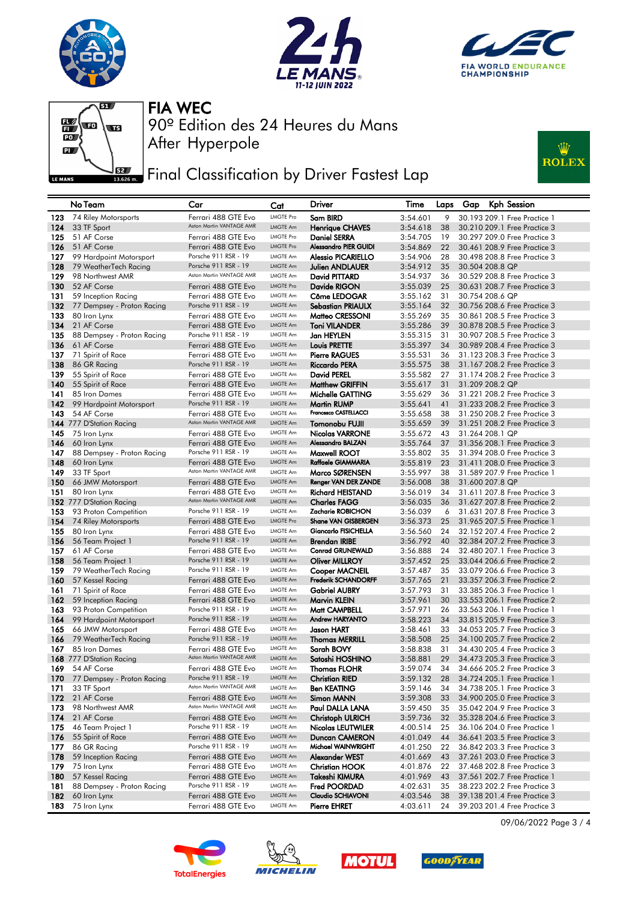







## **JEE** Final Classification by Driver Fastest Lap



|            | No Team                                  | Car                                             | Cat                  | Driver                                         | Time                 | Laps     | Kph Session<br>Gap                                           |
|------------|------------------------------------------|-------------------------------------------------|----------------------|------------------------------------------------|----------------------|----------|--------------------------------------------------------------|
| 123        | 74 Riley Motorsports                     | Ferrari 488 GTE Evo                             | <b>LMGTE Pro</b>     | Sam BIRD                                       | 3:54.601             | 9        | 30.193 209.1 Free Practice 1                                 |
| 124        | 33 TF Sport                              | Aston Martin VANTAGE AMR                        | LMGTE Am             | <b>Henrique CHAVES</b>                         | 3:54.618             | 38       | 30.210 209.1 Free Practice 3                                 |
| 125        | 51 AF Corse                              | Ferrari 488 GTE Evo                             | <b>LMGTE Pro</b>     | <b>Daniel SERRA</b>                            | 3:54.705             | 19       | 30.297 209.0 Free Practice 3                                 |
| 126        | 51 AF Corse                              | Ferrari 488 GTE Evo                             | <b>LMGTE Pro</b>     | <b>Alessandro PIER GUIDI</b>                   | 3:54.869             | 22       | 30.461 208.9 Free Practice 3                                 |
| 127        | 99 Hardpoint Motorsport                  | Porsche 911 RSR - 19                            | LMGTE Am             | <b>Alessio PICARIELLO</b>                      | 3:54.906             | 28       | 30.498 208.8 Free Practice 3                                 |
| 128        | 79 WeatherTech Racing                    | Porsche 911 RSR - 19                            | <b>LMGTE Am</b>      | Julien ANDLAUER                                | 3:54.912             | 35       | 30.504 208.8 QP                                              |
| 129        | 98 Northwest AMR                         | Aston Martin VANTAGE AMR                        | LMGTE Am             | David PITTARD                                  | 3:54.937             | 36       | 30.529 208.8 Free Practice 3                                 |
| 130        | 52 AF Corse                              | Ferrari 488 GTE Evo                             | <b>LMGTE Pro</b>     | Davide RIGON                                   | 3:55.039             | 25       | 30.631 208.7 Free Practice 3                                 |
| 131        | 59 Inception Racing                      | Ferrari 488 GTE Evo                             | <b>LMGTE Am</b>      | Côme LEDOGAR                                   | 3:55.162             | 31       | 30.754 208.6 QP                                              |
| 132        | 77 Dempsey - Proton Racing               | Porsche 911 RSR - 19                            | LMGTE Am<br>LMGTE Am | <b>Sebastian PRIAULX</b>                       | 3:55.164             | 32       | 30.756 208.6 Free Practice 3                                 |
| 133<br>134 | 80 Iron Lynx<br>21 AF Corse              | Ferrari 488 GTE Evo<br>Ferrari 488 GTE Evo      | LMGTE Am             | Matteo CRESSONI<br><b>Toni VILANDER</b>        | 3:55.269<br>3:55.286 | 35<br>39 | 30.861 208.5 Free Practice 3<br>30.878 208.5 Free Practice 3 |
| 135        | 88 Dempsey - Proton Racing               | Porsche 911 RSR - 19                            | LMGTE Am             | Jan HEYLEN                                     | 3:55.315             | 31       | 30.907 208.5 Free Practice 3                                 |
| 136        | 61 AF Corse                              | Ferrari 488 GTE Evo                             | LMGTE Am             | <b>Louis PRETTE</b>                            | 3:55.397             | 34       | 30.989 208.4 Free Practice 3                                 |
| 137        | 71 Spirit of Race                        | Ferrari 488 GTE Evo                             | LMGTE Am             | <b>Pierre RAGUES</b>                           | 3:55.531             | 36       | 31.123 208.3 Free Practice 3                                 |
| 138        | 86 GR Racing                             | Porsche 911 RSR - 19                            | LMGTE Am             | <b>Riccardo PERA</b>                           | 3:55.575             | 38       | 31.167 208.2 Free Practice 3                                 |
| 139        | 55 Spirit of Race                        | Ferrari 488 GTE Evo                             | LMGTE Am             | David PEREL                                    | 3:55.582             | 27       | 31.174 208.2 Free Practice 3                                 |
| 140        | 55 Spirit of Race                        | Ferrari 488 GTE Evo                             | LMGTE Am             | <b>Matthew GRIFFIN</b>                         | 3:55.617             | 31       | 31.209 208.2 QP                                              |
| 141        | 85 Iron Dames                            | Ferrari 488 GTE Evo                             | <b>LMGTE Am</b>      | Michelle GATTING                               | 3:55.629             | 36       | 31,221 208.2 Free Practice 3                                 |
| 142        | 99 Hardpoint Motorsport                  | Porsche 911 RSR - 19                            | LMGTE Am             | Martin RUMP                                    | 3:55.641             | 41       | 31.233 208.2 Free Practice 3                                 |
| 143        | 54 AF Corse                              | Ferrari 488 GTE Evo                             | LMGTE Am             | Francesco CASTELLACCI                          | 3:55.658             | 38       | 31,250 208,2 Free Practice 3                                 |
|            | 144 777 D'Station Racing                 | Aston Martin VANTAGE AMR                        | LMGTE Am             | <b>Tomonobu FUJII</b>                          | 3:55.659             | 39       | 31.251 208.2 Free Practice 3                                 |
| 145        | 75 Iron Lynx                             | Ferrari 488 GTE Evo                             | LMGTE Am             | <b>Nicolas VARRONE</b>                         | 3:55.672             | 43       | 31.264 208.1 QP                                              |
| 146        | 60 Iron Lynx                             | Ferrari 488 GTE Evo                             | LMGTE Am             | Alessandro BALZAN                              | 3:55.764             | 37       | 31.356 208.1 Free Practice 3                                 |
| 147        | 88 Dempsey - Proton Racing               | Porsche 911 RSR - 19                            | LMGTE Am             | Maxwell ROOT                                   | 3:55.802             | 35       | 31.394 208.0 Free Practice 3                                 |
| 148        | 60 Iron Lynx                             | Ferrari 488 GTE Evo<br>Aston Martin VANTAGE AMR | LMGTE Am             | Raffaele GIAMMARIA                             | 3:55.819             | 23       | 31.411 208.0 Free Practice 3                                 |
| 149        | 33 TF Sport                              |                                                 | LMGTE Am<br>LMGTE Am | Marco SØRENSEN                                 | 3:55.997             | 38       | 31.589 207.9 Free Practice 1                                 |
| 150        | 66 JMW Motorsport                        | Ferrari 488 GTE Evo                             | <b>LMGTE Am</b>      | Renger VAN DER ZANDE                           | 3:56.008             | 38       | 31.600 207.8 QP                                              |
| 151        | 80 Iron Lynx<br>152 777 D'Station Racing | Ferrari 488 GTE Evo<br>Aston Martin VANTAGE AMR | LMGTE Am             | <b>Richard HEISTAND</b><br><b>Charles FAGG</b> | 3:56.019<br>3:56.035 | 34<br>36 | 31.611 207.8 Free Practice 3<br>31.627 207.8 Free Practice 2 |
| 153        | 93 Proton Competition                    | Porsche 911 RSR - 19                            | <b>LMGTE Am</b>      | Zacharie ROBICHON                              | 3:56.039             | 6        | 31.631 207.8 Free Practice 3                                 |
| 154        | 74 Riley Motorsports                     | Ferrari 488 GTE Evo                             | <b>LMGTE Pro</b>     | <b>Shane VAN GISBERGEN</b>                     | 3:56.373             | 25       | 31.965 207.5 Free Practice 1                                 |
| 155        | 80 Iron Lynx                             | Ferrari 488 GTE Evo                             | LMGTE Am             | Giancarlo FISICHELLA                           | 3:56.560             | 24       | 32.152 207.4 Free Practice 2                                 |
| 156        | 56 Team Project 1                        | Porsche 911 RSR - 19                            | <b>LMGTE Am</b>      | <b>Brendan IRIBE</b>                           | 3:56.792             | 40       | 32.384 207.2 Free Practice 3                                 |
| 157        | 61 AF Corse                              | Ferrari 488 GTE Evo                             | LMGTE Am             | <b>Conrad GRUNEWALD</b>                        | 3:56.888             | 24       | 32.480 207.1 Free Practice 3                                 |
| 158        | 56 Team Project 1                        | Porsche 911 RSR - 19                            | LMGTE Am             | <b>Oliver MILLROY</b>                          | 3:57.452             | 25       | 33.044 206.6 Free Practice 2                                 |
| 159        | 79 WeatherTech Racing                    | Porsche 911 RSR - 19                            | <b>LMGTE Am</b>      | <b>Cooper MACNEIL</b>                          | 3:57.487             | 35       | 33.079 206.6 Free Practice 3                                 |
| 160        | 57 Kessel Racing                         | Ferrari 488 GTE Evo                             | LMGTE Am             | Frederik SCHANDORFF                            | 3:57.765             | 21       | 33.357 206.3 Free Practice 2                                 |
| 161        | 71 Spirit of Race                        | Ferrari 488 GTE Evo                             | LMGTE Am             | <b>Gabriel AUBRY</b>                           | 3:57.793             | 31       | 33,385 206,3 Free Practice 1                                 |
| 162        | 59 Inception Racing                      | Ferrari 488 GTE Evo                             | LMGTE Am             | Marvin KLEIN                                   | 3:57.961             | 30       | 33.553 206.1 Free Practice 2                                 |
| 163        | 93 Proton Competition                    | Porsche 911 RSR - 19                            | LMGTE Am             | Matt CAMPBELL                                  | 3:57.971             | 26       | 33,563 206,1 Free Practice 1                                 |
| 164        | 99 Hardpoint Motorsport                  | Porsche 911 RSR - 19                            | LMGTE Am             | <b>Andrew HARYANTO</b>                         | 3:58.223             | 34       | 33.815 205.9 Free Practice 3                                 |
| 165        | 66 JMW Motorsport                        | Ferrari 488 GTE Evo<br>Porsche 911 RSR - 19     | LMGTE Am<br>LMGTE Am | Jason HART                                     | 3:58.461             | 33       | 34,053 205,7 Free Practice 3                                 |
| 166<br>167 | 79 WeatherTech Racing<br>85 Iron Dames   |                                                 | LMGTE Am             | <b>Thomas MERRILL</b><br>Sarah BOVY            | 3:58.508<br>3:58.838 | 25<br>31 | 34.100 205.7 Free Practice 2<br>34,430 205,4 Free Practice 3 |
|            | 168 777 D'Station Racing                 | Ferrari 488 GTE Evo<br>Aston Martin VANTAGE AMR | LMGTE Am             | Satoshi HOSHINO                                | 3:58.881             | 29       | 34.473 205.3 Free Practice 3                                 |
| 169        | 54 AF Corse                              | Ferrari 488 GTE Evo                             | LMGTE Am             | <b>Thomas FLOHR</b>                            | 3:59.074             | 34       | 34,666 205,2 Free Practice 3                                 |
| 170        | 77 Dempsey - Proton Racing               | Porsche 911 RSR - 19                            | LMGTE Am             | Christian RIED                                 | 3:59.132             | 28       | 34.724 205.1 Free Practice 1                                 |
| 171        | 33 TF Sport                              | Aston Martin VANTAGE AMR                        | LMGTE Am             | <b>Ben KEATING</b>                             | 3:59.146             | 34       | 34.738 205.1 Free Practice 3                                 |
| 172        | 21 AF Corse                              | Ferrari 488 GTE Evo                             | LMGTE Am             | Simon MANN                                     | 3:59.308             | 33       | 34.900 205.0 Free Practice 3                                 |
| 173        | 98 Northwest AMR                         | Aston Martin VANTAGE AMR                        | LMGTE Am             | Paul DALLA LANA                                | 3:59.450             | 35       | 35.042 204.9 Free Practice 3                                 |
| 174        | 21 AF Corse                              | Ferrari 488 GTE Evo                             | LMGTE Am             | <b>Christoph ULRICH</b>                        | 3:59.736             | 32       | 35.328 204.6 Free Practice 3                                 |
| 175        | 46 Team Project 1                        | Porsche 911 RSR - 19                            | LMGTE Am             | <b>Nicolas LEUTWILER</b>                       | 4:00.514             | 25       | 36.106 204.0 Free Practice 1                                 |
| 176        | 55 Spirit of Race                        | Ferrari 488 GTE Evo                             | LMGTE Am             | <b>Duncan CAMERON</b>                          | 4:01.049             | 44       | 36.641 203.5 Free Practice 3                                 |
| 177.       | 86 GR Racing                             | Porsche 911 RSR - 19                            | LMGTE Am             | Michael WAINWRIGHT                             | 4:01.250             | 22       | 36.842 203.3 Free Practice 3                                 |
| 178        | 59 Inception Racing                      | Ferrari 488 GTE Evo                             | LMGTE Am             | Alexander WEST                                 | 4:01.669             | 43       | 37.261 203.0 Free Practice 3                                 |
| 179        | 75 Iron Lynx                             | Ferrari 488 GTE Evo                             | LMGTE Am             | <b>Christian HOOK</b>                          | 4:01.876             | 22       | 37.468 202.8 Free Practice 3                                 |
| 180        | 57 Kessel Racing                         | Ferrari 488 GTE Evo                             | LMGTE Am             | Takeshi KIMURA                                 | 4:01.969             | 43       | 37.561 202.7 Free Practice 1                                 |
| 181        | 88 Dempsey - Proton Racing               | Porsche 911 RSR - 19                            | LMGTE Am             | Fred POORDAD                                   | 4:02.631             | 35       | 38.223 202.2 Free Practice 3                                 |
| 182        | 60 Iron Lynx                             | Ferrari 488 GTE Evo                             | LMGTE Am             | Claudio SCHIAVONI                              | 4:03.546             | 38       | 39.138 201.4 Free Practice 3                                 |
| 183        | 75 Iron Lynx                             | Ferrari 488 GTE Evo                             | LMGTE Am             | <b>Pierre EHRET</b>                            | 4:03.611             | 24       | 39.203 201.4 Free Practice 3                                 |









09/06/2022 Page 3 / 4